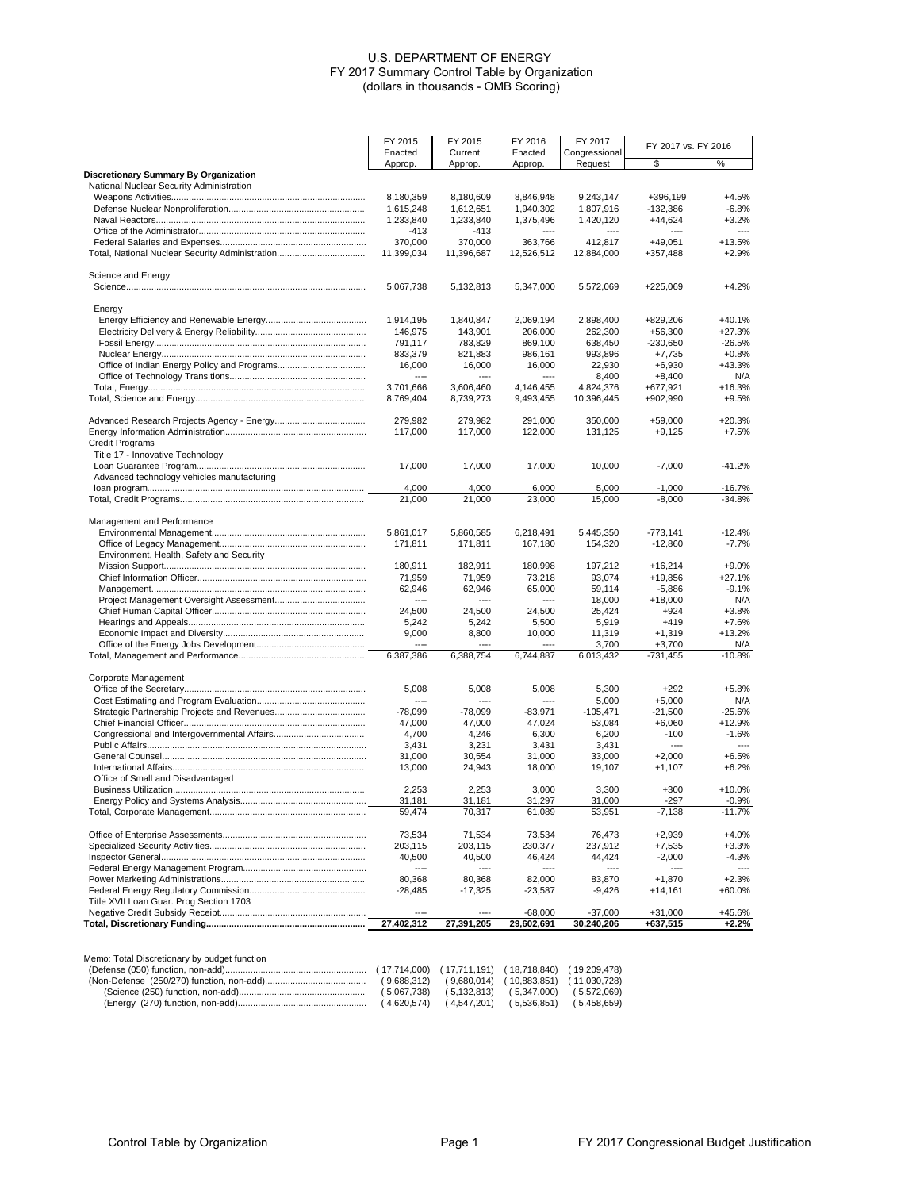| FY 2015            | FY 2015                                                                                                                                                                                                                             | FY 2016                                                                                                                                                                                                                                     | FY 2017                                                                                                                                                                                                                                                   |                                                                                                                                                                                                                                                                  |                                                                                                                                                                                                                                                                                                 |
|--------------------|-------------------------------------------------------------------------------------------------------------------------------------------------------------------------------------------------------------------------------------|---------------------------------------------------------------------------------------------------------------------------------------------------------------------------------------------------------------------------------------------|-----------------------------------------------------------------------------------------------------------------------------------------------------------------------------------------------------------------------------------------------------------|------------------------------------------------------------------------------------------------------------------------------------------------------------------------------------------------------------------------------------------------------------------|-------------------------------------------------------------------------------------------------------------------------------------------------------------------------------------------------------------------------------------------------------------------------------------------------|
| Enacted            | Current                                                                                                                                                                                                                             | Enacted                                                                                                                                                                                                                                     | Congressional                                                                                                                                                                                                                                             |                                                                                                                                                                                                                                                                  |                                                                                                                                                                                                                                                                                                 |
| Approp.            | Approp.                                                                                                                                                                                                                             |                                                                                                                                                                                                                                             |                                                                                                                                                                                                                                                           |                                                                                                                                                                                                                                                                  | %                                                                                                                                                                                                                                                                                               |
|                    |                                                                                                                                                                                                                                     |                                                                                                                                                                                                                                             |                                                                                                                                                                                                                                                           |                                                                                                                                                                                                                                                                  |                                                                                                                                                                                                                                                                                                 |
|                    |                                                                                                                                                                                                                                     |                                                                                                                                                                                                                                             |                                                                                                                                                                                                                                                           |                                                                                                                                                                                                                                                                  | $+4.5%$                                                                                                                                                                                                                                                                                         |
|                    |                                                                                                                                                                                                                                     |                                                                                                                                                                                                                                             |                                                                                                                                                                                                                                                           |                                                                                                                                                                                                                                                                  | $-6.8%$                                                                                                                                                                                                                                                                                         |
|                    |                                                                                                                                                                                                                                     |                                                                                                                                                                                                                                             |                                                                                                                                                                                                                                                           |                                                                                                                                                                                                                                                                  | $+3.2%$                                                                                                                                                                                                                                                                                         |
| $-413$             | $-413$                                                                                                                                                                                                                              | ----                                                                                                                                                                                                                                        | ----                                                                                                                                                                                                                                                      | ----                                                                                                                                                                                                                                                             | $---$                                                                                                                                                                                                                                                                                           |
| 370,000            | 370,000                                                                                                                                                                                                                             | 363,766                                                                                                                                                                                                                                     | 412,817                                                                                                                                                                                                                                                   | $+49,051$                                                                                                                                                                                                                                                        | +13.5%                                                                                                                                                                                                                                                                                          |
| 11,399,034         | 11,396,687                                                                                                                                                                                                                          | 12,526,512                                                                                                                                                                                                                                  | 12,884,000                                                                                                                                                                                                                                                | +357,488                                                                                                                                                                                                                                                         | $+2.9%$                                                                                                                                                                                                                                                                                         |
|                    |                                                                                                                                                                                                                                     |                                                                                                                                                                                                                                             |                                                                                                                                                                                                                                                           |                                                                                                                                                                                                                                                                  |                                                                                                                                                                                                                                                                                                 |
|                    |                                                                                                                                                                                                                                     |                                                                                                                                                                                                                                             |                                                                                                                                                                                                                                                           |                                                                                                                                                                                                                                                                  |                                                                                                                                                                                                                                                                                                 |
|                    |                                                                                                                                                                                                                                     |                                                                                                                                                                                                                                             |                                                                                                                                                                                                                                                           |                                                                                                                                                                                                                                                                  | $+4.2%$                                                                                                                                                                                                                                                                                         |
|                    |                                                                                                                                                                                                                                     |                                                                                                                                                                                                                                             |                                                                                                                                                                                                                                                           |                                                                                                                                                                                                                                                                  |                                                                                                                                                                                                                                                                                                 |
|                    |                                                                                                                                                                                                                                     |                                                                                                                                                                                                                                             |                                                                                                                                                                                                                                                           |                                                                                                                                                                                                                                                                  | $+40.1%$                                                                                                                                                                                                                                                                                        |
| 146,975            | 143,901                                                                                                                                                                                                                             | 206,000                                                                                                                                                                                                                                     | 262,300                                                                                                                                                                                                                                                   | $+56,300$                                                                                                                                                                                                                                                        | $+27.3%$                                                                                                                                                                                                                                                                                        |
| 791,117            | 783,829                                                                                                                                                                                                                             | 869,100                                                                                                                                                                                                                                     | 638,450                                                                                                                                                                                                                                                   | $-230.650$                                                                                                                                                                                                                                                       | $-26.5%$                                                                                                                                                                                                                                                                                        |
| 833,379            | 821,883                                                                                                                                                                                                                             | 986,161                                                                                                                                                                                                                                     | 993,896                                                                                                                                                                                                                                                   | $+7,735$                                                                                                                                                                                                                                                         | $+0.8%$                                                                                                                                                                                                                                                                                         |
| 16,000             | 16,000                                                                                                                                                                                                                              | 16,000                                                                                                                                                                                                                                      | 22,930                                                                                                                                                                                                                                                    | $+6,930$                                                                                                                                                                                                                                                         | $+43.3%$                                                                                                                                                                                                                                                                                        |
|                    |                                                                                                                                                                                                                                     |                                                                                                                                                                                                                                             | 8,400                                                                                                                                                                                                                                                     | $+8,400$                                                                                                                                                                                                                                                         | N/A                                                                                                                                                                                                                                                                                             |
| 3,701,666          | 3,606,460                                                                                                                                                                                                                           | 4,146,455                                                                                                                                                                                                                                   | 4,824,376                                                                                                                                                                                                                                                 | $+677,921$                                                                                                                                                                                                                                                       | $+16.3%$                                                                                                                                                                                                                                                                                        |
| 8,769,404          | 8,739,273                                                                                                                                                                                                                           | 9,493,455                                                                                                                                                                                                                                   | 10,396,445                                                                                                                                                                                                                                                | +902,990                                                                                                                                                                                                                                                         | $+9.5%$                                                                                                                                                                                                                                                                                         |
|                    |                                                                                                                                                                                                                                     |                                                                                                                                                                                                                                             |                                                                                                                                                                                                                                                           |                                                                                                                                                                                                                                                                  |                                                                                                                                                                                                                                                                                                 |
| 279,982            | 279,982                                                                                                                                                                                                                             | 291,000                                                                                                                                                                                                                                     | 350,000                                                                                                                                                                                                                                                   | $+59,000$                                                                                                                                                                                                                                                        | +20.3%                                                                                                                                                                                                                                                                                          |
|                    |                                                                                                                                                                                                                                     |                                                                                                                                                                                                                                             |                                                                                                                                                                                                                                                           |                                                                                                                                                                                                                                                                  | $+7.5%$                                                                                                                                                                                                                                                                                         |
|                    |                                                                                                                                                                                                                                     |                                                                                                                                                                                                                                             |                                                                                                                                                                                                                                                           |                                                                                                                                                                                                                                                                  |                                                                                                                                                                                                                                                                                                 |
|                    |                                                                                                                                                                                                                                     |                                                                                                                                                                                                                                             |                                                                                                                                                                                                                                                           |                                                                                                                                                                                                                                                                  |                                                                                                                                                                                                                                                                                                 |
|                    |                                                                                                                                                                                                                                     |                                                                                                                                                                                                                                             |                                                                                                                                                                                                                                                           |                                                                                                                                                                                                                                                                  | $-41.2%$                                                                                                                                                                                                                                                                                        |
|                    |                                                                                                                                                                                                                                     |                                                                                                                                                                                                                                             |                                                                                                                                                                                                                                                           |                                                                                                                                                                                                                                                                  |                                                                                                                                                                                                                                                                                                 |
|                    |                                                                                                                                                                                                                                     |                                                                                                                                                                                                                                             |                                                                                                                                                                                                                                                           |                                                                                                                                                                                                                                                                  | -16.7%<br>$-34.8%$                                                                                                                                                                                                                                                                              |
|                    |                                                                                                                                                                                                                                     |                                                                                                                                                                                                                                             |                                                                                                                                                                                                                                                           |                                                                                                                                                                                                                                                                  |                                                                                                                                                                                                                                                                                                 |
|                    |                                                                                                                                                                                                                                     |                                                                                                                                                                                                                                             |                                                                                                                                                                                                                                                           |                                                                                                                                                                                                                                                                  |                                                                                                                                                                                                                                                                                                 |
|                    |                                                                                                                                                                                                                                     |                                                                                                                                                                                                                                             |                                                                                                                                                                                                                                                           |                                                                                                                                                                                                                                                                  | $-12.4%$                                                                                                                                                                                                                                                                                        |
|                    |                                                                                                                                                                                                                                     |                                                                                                                                                                                                                                             |                                                                                                                                                                                                                                                           |                                                                                                                                                                                                                                                                  | $-7.7%$                                                                                                                                                                                                                                                                                         |
|                    |                                                                                                                                                                                                                                     |                                                                                                                                                                                                                                             |                                                                                                                                                                                                                                                           |                                                                                                                                                                                                                                                                  |                                                                                                                                                                                                                                                                                                 |
| 180,911            |                                                                                                                                                                                                                                     |                                                                                                                                                                                                                                             |                                                                                                                                                                                                                                                           |                                                                                                                                                                                                                                                                  | $+9.0%$                                                                                                                                                                                                                                                                                         |
| 71,959             | 71,959                                                                                                                                                                                                                              | 73,218                                                                                                                                                                                                                                      | 93,074                                                                                                                                                                                                                                                    | +19,856                                                                                                                                                                                                                                                          | $+27.1%$                                                                                                                                                                                                                                                                                        |
| 62,946             | 62,946                                                                                                                                                                                                                              | 65,000                                                                                                                                                                                                                                      | 59,114                                                                                                                                                                                                                                                    | $-5,886$                                                                                                                                                                                                                                                         | $-9.1%$                                                                                                                                                                                                                                                                                         |
| ----               | ----                                                                                                                                                                                                                                | ----                                                                                                                                                                                                                                        | 18,000                                                                                                                                                                                                                                                    | $+18,000$                                                                                                                                                                                                                                                        | N/A                                                                                                                                                                                                                                                                                             |
| 24,500             | 24,500                                                                                                                                                                                                                              | 24,500                                                                                                                                                                                                                                      | 25,424                                                                                                                                                                                                                                                    | $+924$                                                                                                                                                                                                                                                           | $+3.8%$                                                                                                                                                                                                                                                                                         |
| 5,242              | 5,242                                                                                                                                                                                                                               | 5,500                                                                                                                                                                                                                                       | 5,919                                                                                                                                                                                                                                                     | $+419$                                                                                                                                                                                                                                                           | $+7.6%$                                                                                                                                                                                                                                                                                         |
| 9,000              | 8,800                                                                                                                                                                                                                               | 10,000                                                                                                                                                                                                                                      | 11,319                                                                                                                                                                                                                                                    | $+1,319$                                                                                                                                                                                                                                                         | $+13.2%$                                                                                                                                                                                                                                                                                        |
| ----               |                                                                                                                                                                                                                                     |                                                                                                                                                                                                                                             | 3,700                                                                                                                                                                                                                                                     | $+3,700$                                                                                                                                                                                                                                                         | N/A                                                                                                                                                                                                                                                                                             |
|                    | 6,388,754                                                                                                                                                                                                                           | 6,744,887                                                                                                                                                                                                                                   | 6,013,432                                                                                                                                                                                                                                                 | $-731,455$                                                                                                                                                                                                                                                       | $-10.8%$                                                                                                                                                                                                                                                                                        |
|                    |                                                                                                                                                                                                                                     |                                                                                                                                                                                                                                             |                                                                                                                                                                                                                                                           |                                                                                                                                                                                                                                                                  |                                                                                                                                                                                                                                                                                                 |
|                    |                                                                                                                                                                                                                                     |                                                                                                                                                                                                                                             |                                                                                                                                                                                                                                                           |                                                                                                                                                                                                                                                                  | $+5.8%$                                                                                                                                                                                                                                                                                         |
|                    |                                                                                                                                                                                                                                     |                                                                                                                                                                                                                                             |                                                                                                                                                                                                                                                           |                                                                                                                                                                                                                                                                  |                                                                                                                                                                                                                                                                                                 |
|                    |                                                                                                                                                                                                                                     |                                                                                                                                                                                                                                             |                                                                                                                                                                                                                                                           |                                                                                                                                                                                                                                                                  | N/A                                                                                                                                                                                                                                                                                             |
|                    |                                                                                                                                                                                                                                     |                                                                                                                                                                                                                                             |                                                                                                                                                                                                                                                           |                                                                                                                                                                                                                                                                  | -25.6%<br>+12.9%                                                                                                                                                                                                                                                                                |
|                    |                                                                                                                                                                                                                                     |                                                                                                                                                                                                                                             |                                                                                                                                                                                                                                                           |                                                                                                                                                                                                                                                                  | $-1.6%$                                                                                                                                                                                                                                                                                         |
|                    |                                                                                                                                                                                                                                     |                                                                                                                                                                                                                                             |                                                                                                                                                                                                                                                           |                                                                                                                                                                                                                                                                  | ----                                                                                                                                                                                                                                                                                            |
|                    |                                                                                                                                                                                                                                     |                                                                                                                                                                                                                                             |                                                                                                                                                                                                                                                           |                                                                                                                                                                                                                                                                  | $+6.5%$                                                                                                                                                                                                                                                                                         |
|                    |                                                                                                                                                                                                                                     |                                                                                                                                                                                                                                             |                                                                                                                                                                                                                                                           |                                                                                                                                                                                                                                                                  | $+6.2%$                                                                                                                                                                                                                                                                                         |
|                    |                                                                                                                                                                                                                                     |                                                                                                                                                                                                                                             |                                                                                                                                                                                                                                                           |                                                                                                                                                                                                                                                                  |                                                                                                                                                                                                                                                                                                 |
|                    |                                                                                                                                                                                                                                     |                                                                                                                                                                                                                                             |                                                                                                                                                                                                                                                           |                                                                                                                                                                                                                                                                  | $+10.0%$                                                                                                                                                                                                                                                                                        |
|                    |                                                                                                                                                                                                                                     |                                                                                                                                                                                                                                             |                                                                                                                                                                                                                                                           |                                                                                                                                                                                                                                                                  | $-0.9%$                                                                                                                                                                                                                                                                                         |
| 59,474             |                                                                                                                                                                                                                                     | 61,089                                                                                                                                                                                                                                      |                                                                                                                                                                                                                                                           | $-7,138$                                                                                                                                                                                                                                                         | $-11.7%$                                                                                                                                                                                                                                                                                        |
|                    |                                                                                                                                                                                                                                     |                                                                                                                                                                                                                                             |                                                                                                                                                                                                                                                           |                                                                                                                                                                                                                                                                  |                                                                                                                                                                                                                                                                                                 |
| 73,534             | 71,534                                                                                                                                                                                                                              | 73,534                                                                                                                                                                                                                                      | 76,473                                                                                                                                                                                                                                                    | $+2,939$                                                                                                                                                                                                                                                         | $+4.0%$                                                                                                                                                                                                                                                                                         |
| 203,115            | 203,115                                                                                                                                                                                                                             | 230,377                                                                                                                                                                                                                                     | 237,912                                                                                                                                                                                                                                                   | $+7,535$                                                                                                                                                                                                                                                         | $+3.3%$                                                                                                                                                                                                                                                                                         |
| 40,500             | 40,500                                                                                                                                                                                                                              | 46,424                                                                                                                                                                                                                                      | 44,424                                                                                                                                                                                                                                                    | $-2,000$                                                                                                                                                                                                                                                         | $-4.3%$                                                                                                                                                                                                                                                                                         |
| ----               | ----                                                                                                                                                                                                                                | ----                                                                                                                                                                                                                                        | ----                                                                                                                                                                                                                                                      | ----                                                                                                                                                                                                                                                             | ----                                                                                                                                                                                                                                                                                            |
| 80,368             | 80,368                                                                                                                                                                                                                              | 82,000                                                                                                                                                                                                                                      | 83,870                                                                                                                                                                                                                                                    | $+1,870$                                                                                                                                                                                                                                                         | $+2.3%$                                                                                                                                                                                                                                                                                         |
| $-28,485$          | $-17,325$                                                                                                                                                                                                                           |                                                                                                                                                                                                                                             | $-9,426$                                                                                                                                                                                                                                                  | $+14,161$                                                                                                                                                                                                                                                        | +60.0%                                                                                                                                                                                                                                                                                          |
|                    |                                                                                                                                                                                                                                     |                                                                                                                                                                                                                                             |                                                                                                                                                                                                                                                           |                                                                                                                                                                                                                                                                  |                                                                                                                                                                                                                                                                                                 |
|                    |                                                                                                                                                                                                                                     | $-68,000$                                                                                                                                                                                                                                   | $-37,000$                                                                                                                                                                                                                                                 | $+31,000$                                                                                                                                                                                                                                                        | +45.6%                                                                                                                                                                                                                                                                                          |
| ----<br>27,402,312 | 27,391,205                                                                                                                                                                                                                          | 29,602,691                                                                                                                                                                                                                                  | 30,240,206                                                                                                                                                                                                                                                | +637,515                                                                                                                                                                                                                                                         | $+2.2%$                                                                                                                                                                                                                                                                                         |
|                    | 8,180,359<br>1,615,248<br>1,233,840<br>5,067,738<br>1,914,195<br>117,000<br>17,000<br>4,000<br>21,000<br>5,861,017<br>171,811<br>6,387,386<br>5,008<br>$-78,099$<br>47,000<br>4,700<br>3,431<br>31,000<br>13,000<br>2,253<br>31,181 | 8,180,609<br>1,612,651<br>1,233,840<br>5,132,813<br>1,840,847<br>117,000<br>17,000<br>4,000<br>21,000<br>5,860,585<br>171,811<br>182,911<br>5,008<br>$-78,099$<br>47,000<br>4,246<br>3,231<br>30.554<br>24,943<br>2,253<br>31,181<br>70,317 | Approp.<br>8,846,948<br>1,940,302<br>1,375,496<br>5,347,000<br>2,069,194<br>122,000<br>17,000<br>6,000<br>23,000<br>6,218,491<br>167,180<br>180,998<br>5,008<br>$-83,971$<br>47.024<br>6,300<br>3,431<br>31,000<br>18,000<br>3,000<br>31,297<br>$-23,587$ | Request<br>9,243,147<br>1,807,916<br>1,420,120<br>5,572,069<br>2,898,400<br>131,125<br>10,000<br>5,000<br>15,000<br>5,445,350<br>154,320<br>197,212<br>5,300<br>5,000<br>$-105,471$<br>53,084<br>6,200<br>3,431<br>33,000<br>19,107<br>3,300<br>31,000<br>53,951 | FY 2017 vs. FY 2016<br>\$<br>+396,199<br>$-132,386$<br>$+44,624$<br>$+225,069$<br>+829,206<br>$+9,125$<br>$-7,000$<br>$-1,000$<br>$-8,000$<br>$-773,141$<br>$-12,860$<br>$+16,214$<br>$+292$<br>$+5,000$<br>$-21,500$<br>$+6,060$<br>$-100$<br>----<br>$+2.000$<br>$+1,107$<br>$+300$<br>$-297$ |

|  | $(17,714,000)$ $(17,711,191)$ $(18,718,840)$ $(19,209,478)$<br>$(9,688,312)$ $(9,680,014)$ $(10,883,851)$ $(11,030,728)$<br>$(5.067.738)$ $(5.132.813)$ $(5.347.000)$ $(5.572.069)$<br>$(4,620,574)$ $(4,547,201)$ $(5,536,851)$ $(5,458,659)$ |
|--|------------------------------------------------------------------------------------------------------------------------------------------------------------------------------------------------------------------------------------------------|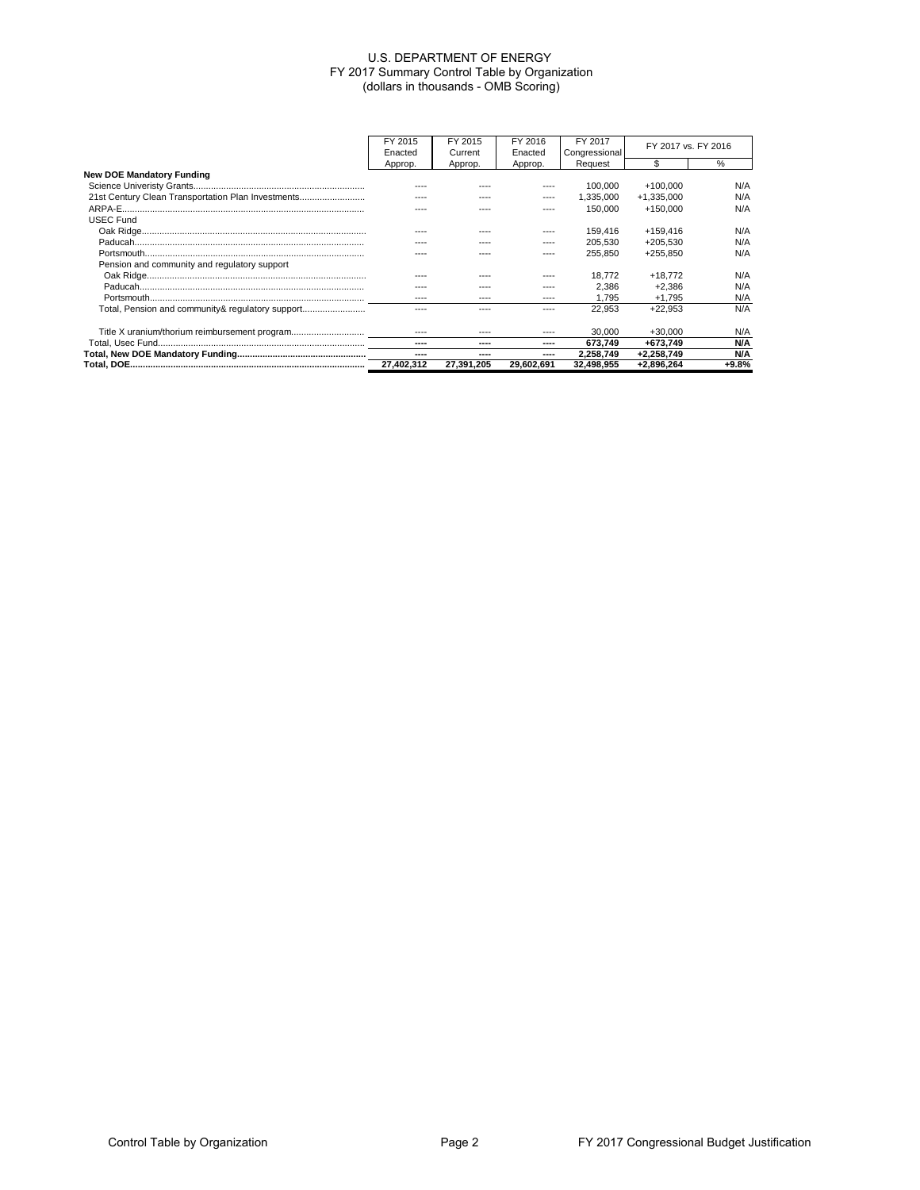|                                                    | FY 2015    | FY 2015    | FY 2016    | FY 2017       | FY 2017 vs. FY 2016 |         |
|----------------------------------------------------|------------|------------|------------|---------------|---------------------|---------|
|                                                    | Enacted    | Current    | Enacted    | Congressional |                     |         |
|                                                    | Approp.    | Approp.    | Approp.    | Request       |                     | $\%$    |
| <b>New DOE Mandatory Funding</b>                   |            |            |            |               |                     |         |
|                                                    |            |            |            | 100.000       | $+100.000$          | N/A     |
| 21st Century Clean Transportation Plan Investments |            |            |            | 1.335.000     | +1.335.000          | N/A     |
|                                                    |            |            |            | 150,000       | +150.000            | N/A     |
| <b>USEC Fund</b>                                   |            |            |            |               |                     |         |
|                                                    |            |            |            | 159.416       | +159.416            | N/A     |
|                                                    |            |            |            | 205.530       | $+205.530$          | N/A     |
|                                                    |            |            |            | 255,850       | +255.850            | N/A     |
| Pension and community and regulatory support       |            |            |            |               |                     |         |
|                                                    |            |            |            | 18.772        | $+18.772$           | N/A     |
|                                                    |            |            |            | 2.386         | $+2.386$            | N/A     |
|                                                    |            | $---$      | ----       | 1.795         | $+1.795$            | N/A     |
| Total, Pension and community& regulatory support   |            |            |            | 22.953        | $+22.953$           | N/A     |
|                                                    |            |            |            |               |                     |         |
| Title X uranium/thorium reimbursement program      |            |            |            | 30,000        | $+30.000$           | N/A     |
|                                                    | ----       | ----       | ----       | 673.749       | +673.749            | N/A     |
|                                                    | ----       | ----       |            | 2,258,749     | $+2,258,749$        | N/A     |
|                                                    | 27.402.312 | 27.391.205 | 29,602,691 | 32,498,955    | +2,896,264          | $+9.8%$ |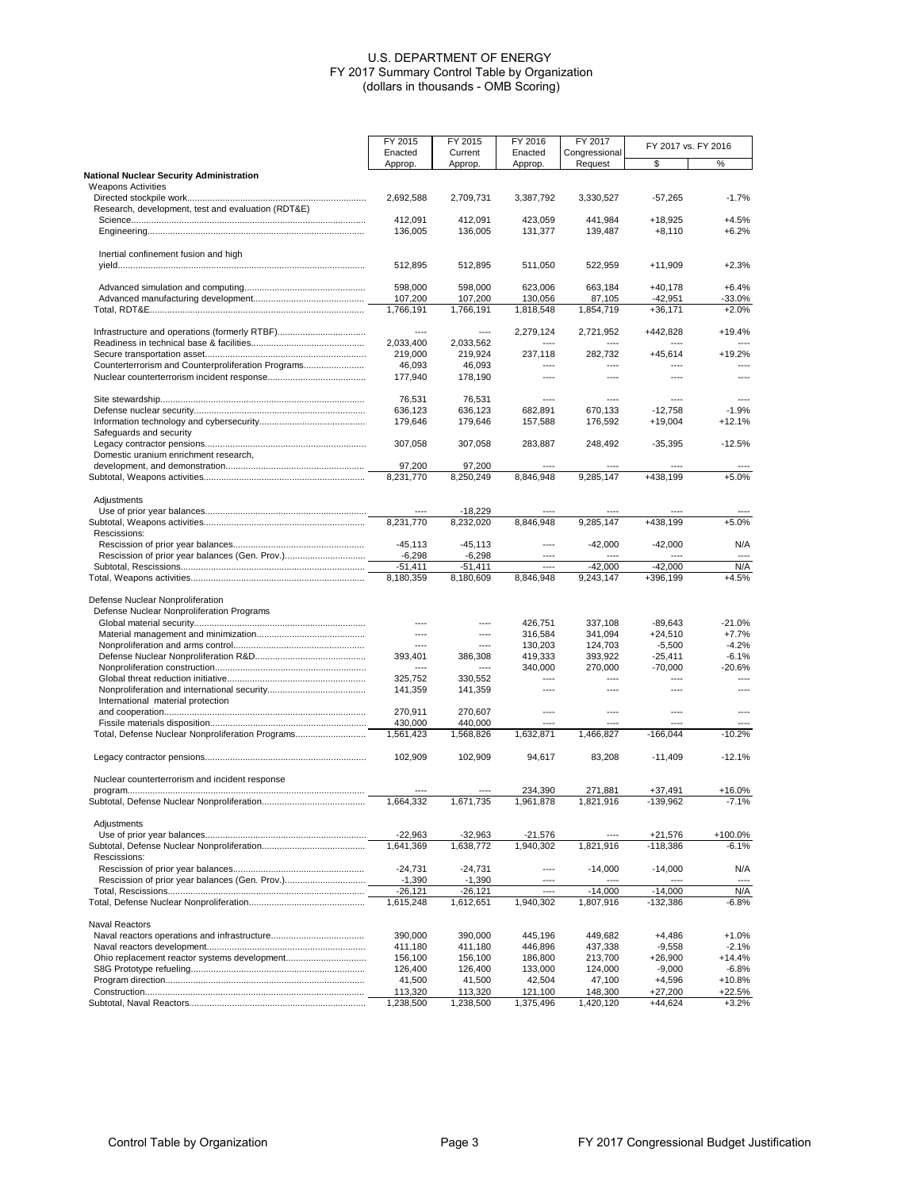|                                                                              | FY 2015               | FY 2015               | FY 2016            | FY 2017            | FY 2017 vs. FY 2016   |                    |
|------------------------------------------------------------------------------|-----------------------|-----------------------|--------------------|--------------------|-----------------------|--------------------|
|                                                                              | Enacted               | Current               | Enacted            | Congressional      |                       |                    |
|                                                                              | Approp.               | Approp.               | Approp.            | Request            | \$                    | %                  |
| <b>National Nuclear Security Administration</b><br><b>Weapons Activities</b> |                       |                       |                    |                    |                       |                    |
|                                                                              | 2,692,588             | 2,709,731             | 3,387,792          | 3,330,527          | $-57,265$             | $-1.7%$            |
| Research, development, test and evaluation (RDT&E)                           |                       |                       |                    |                    |                       |                    |
|                                                                              | 412,091               | 412,091               | 423,059            | 441,984            | +18,925               | $+4.5%$            |
|                                                                              | 136,005               | 136,005               | 131,377            | 139,487            | $+8,110$              | $+6.2%$            |
| Inertial confinement fusion and high                                         |                       |                       |                    |                    |                       |                    |
|                                                                              | 512,895               | 512,895               | 511,050            | 522,959            | +11,909               | $+2.3%$            |
|                                                                              | 598,000               | 598,000               | 623,006            | 663,184            | +40,178               | $+6.4%$            |
|                                                                              | 107,200               | 107,200               | 130,056            | 87,105             | -42,951               | $-33.0%$           |
|                                                                              | 1.766.191             | 1,766,191             | 1,818,548          | 1,854,719          | $+36,171$             | $+2.0%$            |
|                                                                              | ----                  | ----                  | 2,279,124          | 2,721,952          | +442,828              | +19.4%             |
|                                                                              | 2,033,400             | 2,033,562             |                    |                    |                       |                    |
|                                                                              | 219,000               | 219,924               | 237,118            | 282,732            | $+45,614$             | +19.2%             |
| Counterterrorism and Counterproliferation Programs                           | 46,093                | 46,093                |                    |                    |                       |                    |
|                                                                              | 177,940               | 178,190               | ----               | $---$              | ----                  | ----               |
|                                                                              | 76,531                | 76,531                | ----               | ----               |                       |                    |
|                                                                              | 636,123               | 636,123               | 682,891            | 670,133            | $-12,758$             | $-1.9%$            |
|                                                                              | 179,646               | 179,646               | 157,588            | 176,592            | $+19,004$             | +12.1%             |
| Safeguards and security                                                      |                       |                       |                    |                    |                       |                    |
|                                                                              | 307,058               | 307,058               | 283,887            | 248,492            | $-35,395$             | $-12.5%$           |
| Domestic uranium enrichment research,                                        |                       |                       |                    |                    |                       |                    |
|                                                                              | 97,200                | 97,200                |                    |                    |                       |                    |
|                                                                              | 8,231,770             | 8.250.249             | 8,846,948          | 9,285,147          | +438,199              | $+5.0%$            |
| Adjustments                                                                  |                       |                       |                    |                    |                       |                    |
|                                                                              |                       | $-18,229$             |                    |                    |                       |                    |
|                                                                              | 8,231,770             | 8,232,020             | 8,846,948          | 9,285,147          | +438,199              | $+5.0%$            |
| Rescissions:                                                                 |                       |                       |                    |                    |                       |                    |
|                                                                              | $-45.113$             | $-45, 113$            | ----               | $-42,000$          | $-42,000$             | N/A                |
|                                                                              | $-6,298$<br>$-51,411$ | $-6,298$<br>$-51,411$ | ----               | $-42,000$          | $-42,000$             | N/A                |
|                                                                              | 8,180,359             | 8,180,609             | 8,846,948          | 9,243,147          | +396,199              | $+4.5%$            |
|                                                                              |                       |                       |                    |                    |                       |                    |
| Defense Nuclear Nonproliferation                                             |                       |                       |                    |                    |                       |                    |
| Defense Nuclear Nonproliferation Programs                                    |                       |                       |                    |                    |                       |                    |
|                                                                              | ----<br>----          | ----                  | 426,751            | 337,108            | -89,643               | $-21.0%$           |
|                                                                              | ----                  | ----<br>----          | 316,584<br>130,203 | 341,094<br>124,703 | $+24,510$<br>$-5,500$ | $+7.7%$<br>$-4.2%$ |
|                                                                              | 393,401               | 386,308               | 419,333            | 393,922            | $-25,411$             | $-6.1%$            |
|                                                                              | ----                  |                       | 340,000            | 270,000            | $-70,000$             | $-20.6%$           |
|                                                                              | 325,752               | 330,552               | ----               | ----               | ----                  | ----               |
|                                                                              | 141,359               | 141,359               | ----               | $---$              | ----                  | ----               |
| International material protection                                            |                       |                       |                    |                    |                       |                    |
|                                                                              | 270,911               | 270,607               | ----               | ----               | $---$                 | $\overline{a}$     |
|                                                                              | 430,000               | 440,000               |                    | ----               |                       |                    |
| Total, Defense Nuclear Nonproliferation Programs                             | 1,561,423             | 1,568,826             | 1,632,871          | 1,466,827          | $-166,044$            | $-10.2%$           |
|                                                                              | 102,909               | 102,909               | 94,617             | 83,208             | $-11,409$             | $-12.1%$           |
| Nuclear counterterrorism and incident response                               |                       |                       |                    |                    |                       |                    |
|                                                                              |                       |                       | 234.390            | 271.881            | $+37.491$             | $+16.0%$           |
|                                                                              | 1.664.332             | 1,671,735             | 1,961,878          | 1,821,916          | $-139,962$            | $-7.1%$            |
| Adiustments                                                                  |                       |                       |                    |                    |                       |                    |
|                                                                              | $-22,963$             | $-32,963$             | -21,576            |                    | +21,576               | +100.0%            |
|                                                                              | 1,641,369             | 1,638,772             | 1,940,302          | 1,821,916          | $-118,386$            | -6.1%              |
| Rescissions:                                                                 |                       |                       |                    |                    |                       |                    |
|                                                                              | $-24,731$             | -24,731               | ----               | $-14,000$          | $-14,000$             | N/A                |
|                                                                              | $-1,390$              | $-1,390$              |                    |                    |                       |                    |
|                                                                              | $-26,121$             | $-26,121$             | ----               | $-14,000$          | $-14,000$             | N/A                |
|                                                                              | 1,615,248             | 1,612,651             | 1,940,302          | 1,807,916          | $-132,386$            | $-6.8%$            |
| Naval Reactors                                                               |                       |                       |                    |                    |                       |                    |
|                                                                              | 390,000               | 390,000               | 445,196            | 449,682            | $+4,486$              | $+1.0%$            |
|                                                                              | 411,180               | 411,180               | 446,896            | 437,338            | $-9,558$              | $-2.1%$            |
|                                                                              | 156,100               | 156,100               | 186,800            | 213,700            | $+26,900$             | $+14.4%$           |
|                                                                              | 126,400               | 126,400               | 133,000            | 124,000            | $-9,000$              | $-6.8%$            |
|                                                                              | 41,500<br>113,320     | 41,500<br>113,320     | 42,504<br>121,100  | 47,100<br>148,300  | $+4,596$<br>$+27,200$ | $+10.8%$<br>+22.5% |
|                                                                              | 1,238,500             | 1,238,500             | 1,375,496          | 1,420,120          | +44,624               | $+3.2%$            |
|                                                                              |                       |                       |                    |                    |                       |                    |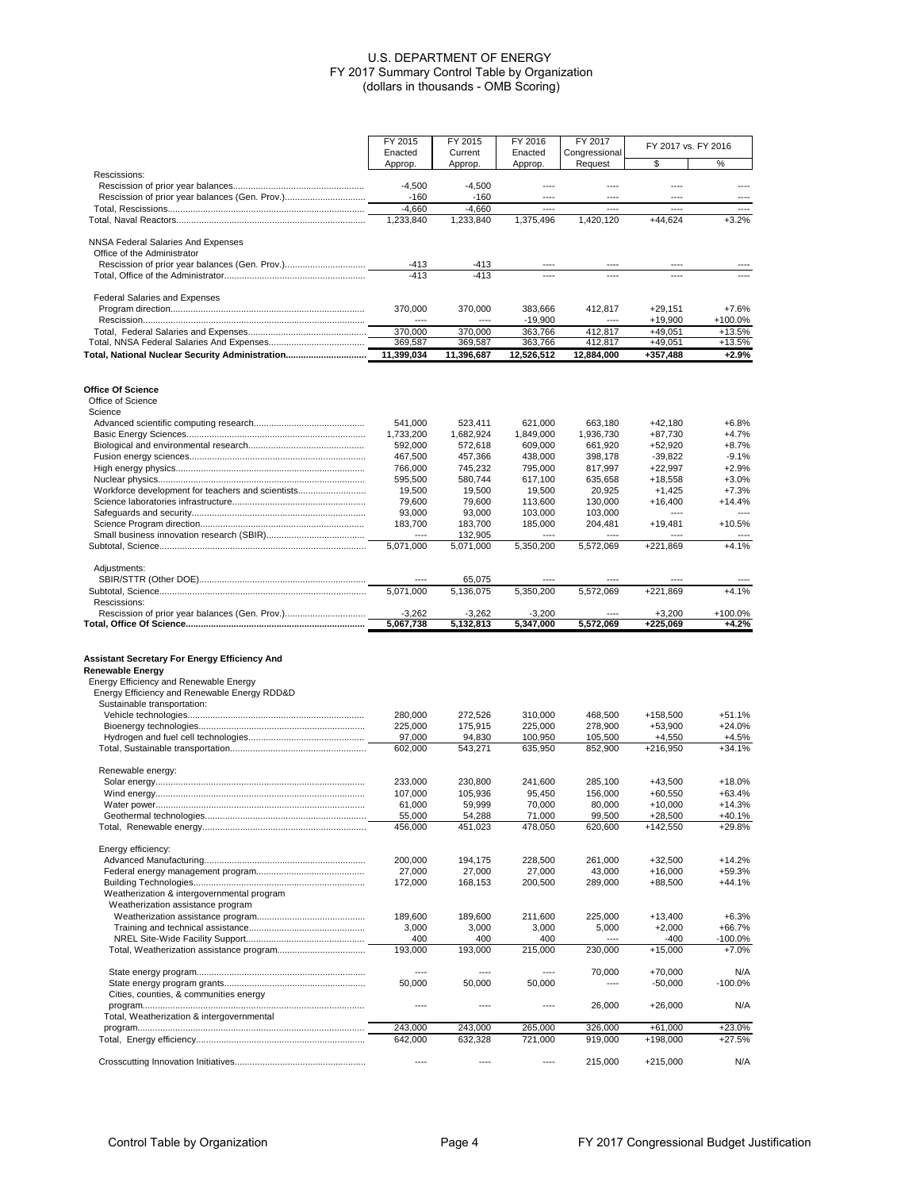|                                                                                                                                                             | FY 2015                  | FY 2015        | FY 2016         | FY 2017                  |                     |                          |
|-------------------------------------------------------------------------------------------------------------------------------------------------------------|--------------------------|----------------|-----------------|--------------------------|---------------------|--------------------------|
|                                                                                                                                                             | Enacted                  | Current        | Enacted         | Congressional            | FY 2017 vs. FY 2016 |                          |
|                                                                                                                                                             | Approp.                  | Approp.        | Approp.         | Request                  | \$                  | %                        |
| Rescissions:                                                                                                                                                |                          |                |                 |                          |                     |                          |
|                                                                                                                                                             | $-4,500$                 | $-4,500$       | ----            | ----                     | ----                | ----                     |
|                                                                                                                                                             | $-160$                   | $-160$         | $---$           | ----                     | ----                | ----                     |
|                                                                                                                                                             | $-4,660$                 | $-4,660$       | ----            | $\overline{\phantom{a}}$ | ----                | $\overline{\phantom{a}}$ |
|                                                                                                                                                             | 1,233,840                | 1,233,840      | 1,375,496       | 1,420,120                | $+44,624$           | $+3.2%$                  |
|                                                                                                                                                             |                          |                |                 |                          |                     |                          |
| NNSA Federal Salaries And Expenses                                                                                                                          |                          |                |                 |                          |                     |                          |
|                                                                                                                                                             |                          |                |                 |                          |                     |                          |
| Office of the Administrator                                                                                                                                 | $-413$                   |                |                 |                          |                     |                          |
|                                                                                                                                                             | $-413$                   | -413<br>$-413$ |                 |                          |                     |                          |
|                                                                                                                                                             |                          |                |                 |                          |                     |                          |
|                                                                                                                                                             |                          |                |                 |                          |                     |                          |
| <b>Federal Salaries and Expenses</b>                                                                                                                        |                          |                |                 |                          |                     |                          |
|                                                                                                                                                             | 370,000                  | 370,000        | 383,666         | 412,817                  | $+29,151$           | $+7.6%$                  |
|                                                                                                                                                             |                          |                | $-19,900$       |                          | $+19,900$           | +100.0%                  |
|                                                                                                                                                             | 370,000                  | 370,000        | 363,766         | 412,817                  | $+49,051$           | $+13.5%$                 |
|                                                                                                                                                             | 369,587                  | 369,587        | 363,766         | 412,817                  | $+49,051$           | $+13.5%$                 |
| Total, National Nuclear Security Administration                                                                                                             | 11,399,034               | 11,396,687     | 12,526,512      | 12,884,000               | +357,488            | $+2.9%$                  |
|                                                                                                                                                             |                          |                |                 |                          |                     |                          |
|                                                                                                                                                             |                          |                |                 |                          |                     |                          |
| Office Of Science                                                                                                                                           |                          |                |                 |                          |                     |                          |
| Office of Science                                                                                                                                           |                          |                |                 |                          |                     |                          |
| Science                                                                                                                                                     |                          |                |                 |                          |                     |                          |
|                                                                                                                                                             | 541,000                  | 523,411        | 621,000         | 663,180                  | $+42,180$           | $+6.8%$                  |
|                                                                                                                                                             | 1,733,200                | 1,682,924      | 1,849,000       | 1,936,730                | $+87,730$           | $+4.7%$                  |
|                                                                                                                                                             | 592,000                  | 572,618        | 609,000         | 661,920                  | $+52,920$           | $+8.7%$                  |
|                                                                                                                                                             | 467,500                  | 457,366        | 438,000         | 398,178                  | -39,822             | $-9.1%$                  |
|                                                                                                                                                             | 766,000                  | 745,232        | 795,000         | 817,997                  | $+22,997$           | $+2.9%$                  |
|                                                                                                                                                             | 595,500                  | 580,744        | 617,100         | 635,658                  | $+18,558$           | $+3.0%$                  |
| Workforce development for teachers and scientists                                                                                                           | 19,500                   | 19,500         | 19,500          | 20,925                   | $+1,425$            | $+7.3%$                  |
|                                                                                                                                                             | 79,600                   | 79,600         | 113,600         | 130,000                  | $+16,400$           | +14.4%                   |
|                                                                                                                                                             | 93,000                   | 93,000         | 103,000         | 103,000                  | ----                | $---$                    |
|                                                                                                                                                             | 183,700                  |                |                 | 204,481                  |                     | $+10.5%$                 |
|                                                                                                                                                             | $\overline{\phantom{a}}$ | 183,700        | 185,000<br>---- | ----                     | +19,481             |                          |
|                                                                                                                                                             |                          | 132,905        | 5.350.200       |                          |                     | $+4.1%$                  |
|                                                                                                                                                             | 5,071,000                | 5,071,000      |                 | 5,572,069                | +221,869            |                          |
|                                                                                                                                                             |                          |                |                 |                          |                     |                          |
| Adjustments:                                                                                                                                                |                          |                |                 |                          |                     |                          |
|                                                                                                                                                             |                          | 65,075         |                 |                          |                     |                          |
|                                                                                                                                                             | 5,071,000                | 5,136,075      | 5,350,200       | 5,572,069                | +221,869            | $+4.1%$                  |
| Rescissions:                                                                                                                                                |                          |                |                 |                          |                     |                          |
|                                                                                                                                                             | -3,262                   | -3,262         | -3,200          |                          | $+3,200$            | +100.0%                  |
|                                                                                                                                                             | 5,067,738                | 5,132,813      | 5,347,000       | 5,572,069                | +225,069            | +4.2%                    |
| Assistant Secretary For Energy Efficiency And<br>Renewable Energy<br>Energy Efficiency and Renewable Energy<br>Energy Efficiency and Renewable Energy RDD&D |                          |                |                 |                          |                     |                          |
| Sustainable transportation:                                                                                                                                 |                          |                |                 |                          |                     |                          |
|                                                                                                                                                             | 280,000                  | 272,526        | 310,000         | 468,500                  | +158,500            | $+51.1%$                 |
|                                                                                                                                                             | 225,000                  | 175,915        | 225,000         | 278,900                  | $+53,900$           | $+24.0%$                 |
|                                                                                                                                                             | 97,000                   | 94,830         | 100,950         | 105,500                  | $+4,550$            | $+4.5%$                  |
|                                                                                                                                                             | 602,000                  | 543,271        | 635,950         | 852,900                  | +216,950            | $+34.1%$                 |
|                                                                                                                                                             |                          |                |                 |                          |                     |                          |
| Renewable energy:                                                                                                                                           |                          |                |                 |                          |                     |                          |
|                                                                                                                                                             | 233,000                  | 230,800        | 241,600         | 285,100                  | $+43,500$           | $+18.0%$                 |
|                                                                                                                                                             | 107,000                  | 105,936        | 95,450          | 156,000                  | $+60,550$           | $+63.4%$                 |
|                                                                                                                                                             | 61,000                   | 59,999         | 70,000          | 80,000                   | $+10,000$           | $+14.3%$                 |
|                                                                                                                                                             | 55,000                   | 54,288         | 71,000          | 99,500                   | $+28,500$           | $+40.1%$                 |
|                                                                                                                                                             | 456,000                  | 451,023        | 478,050         | 620,600                  | $+142,550$          | +29.8%                   |
|                                                                                                                                                             |                          |                |                 |                          |                     |                          |
| Energy efficiency:                                                                                                                                          |                          |                |                 |                          |                     |                          |
|                                                                                                                                                             | 200,000                  | 194,175        | 228,500         | 261,000                  | $+32,500$           | $+14.2%$                 |
|                                                                                                                                                             | 27,000                   | 27,000         | 27,000          | 43,000                   | $+16,000$           | +59.3%                   |
|                                                                                                                                                             | 172,000                  | 168,153        | 200,500         | 289,000                  | $+88,500$           | +44.1%                   |
| Weatherization & intergovernmental program                                                                                                                  |                          |                |                 |                          |                     |                          |
| Weatherization assistance program                                                                                                                           |                          |                |                 |                          |                     |                          |
|                                                                                                                                                             | 189,600                  | 189,600        | 211,600         | 225,000                  | $+13,400$           | $+6.3%$                  |
|                                                                                                                                                             | 3,000                    | 3,000          | 3,000           | 5,000                    | $+2,000$            | +66.7%                   |
|                                                                                                                                                             | 400                      | 400            | 400             |                          | -400                | -100.0%                  |
|                                                                                                                                                             | 193,000                  | 193,000        | 215,000         | 230,000                  | $+15,000$           | $+7.0%$                  |
|                                                                                                                                                             |                          |                |                 |                          |                     |                          |
|                                                                                                                                                             | ----                     | ----           | ----            | 70,000                   | $+70,000$           | N/A                      |
|                                                                                                                                                             | 50,000                   | 50,000         | 50,000          | ----                     | $-50,000$           | $-100.0%$                |
| Cities, counties, & communities energy                                                                                                                      |                          |                |                 |                          |                     |                          |
|                                                                                                                                                             |                          |                |                 |                          |                     |                          |
|                                                                                                                                                             | ----                     | ----           | ----            | 26,000                   | $+26,000$           | N/A                      |
| Total, Weatherization & intergovernmental                                                                                                                   | 243,000                  |                |                 |                          |                     |                          |
|                                                                                                                                                             |                          | 243,000        | 265,000         | 326,000                  | $+61,000$           | $+23.0%$                 |
|                                                                                                                                                             | 642,000                  | 632,328        | 721,000         | 919,000                  | +198,000            | $+27.5%$                 |
|                                                                                                                                                             |                          |                |                 |                          |                     |                          |
|                                                                                                                                                             | $---$                    | ----           | $---$           | 215,000                  | $+215,000$          | N/A                      |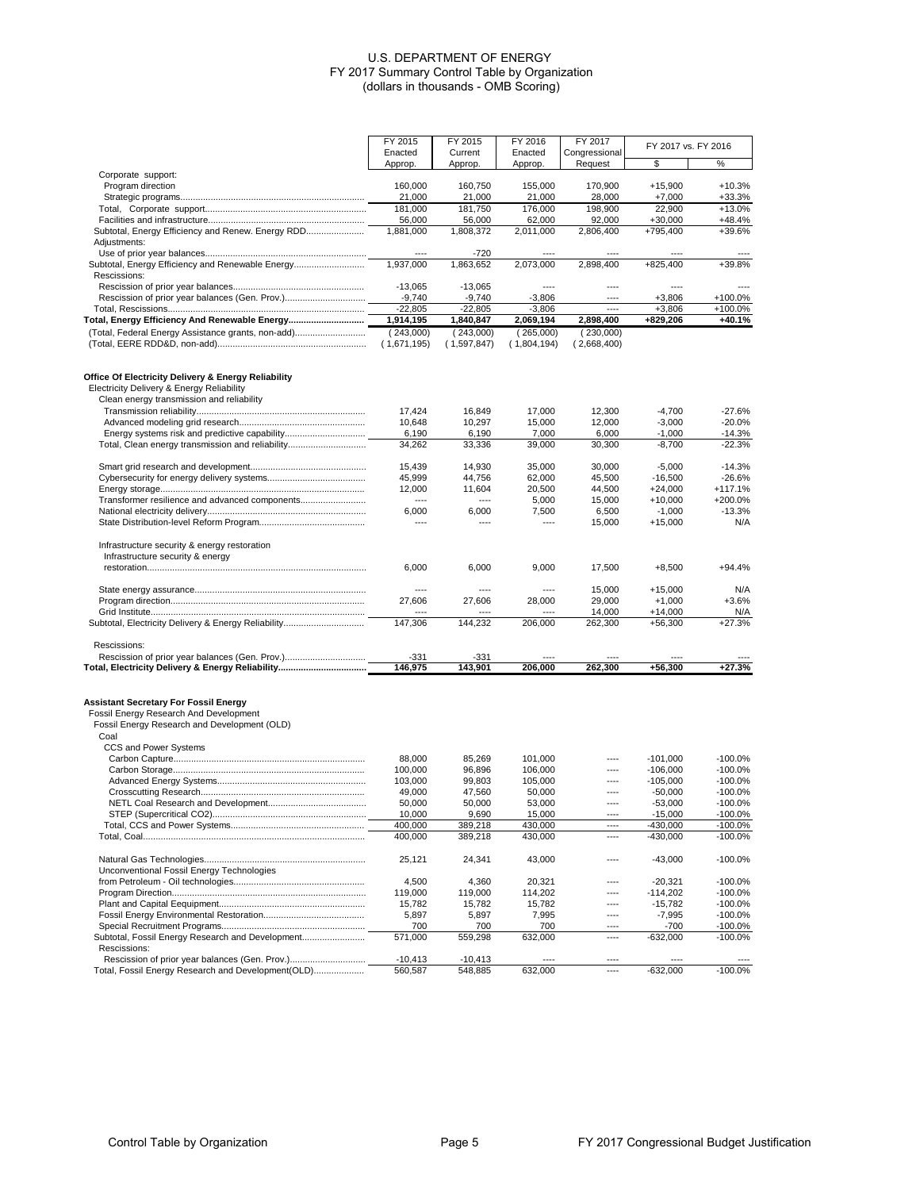|                                                                                                                                                | FY 2015             | FY 2015             | FY 2016             | FY 2017             |                       |                         |
|------------------------------------------------------------------------------------------------------------------------------------------------|---------------------|---------------------|---------------------|---------------------|-----------------------|-------------------------|
|                                                                                                                                                | Enacted             | Current             | Enacted             | Congressional       | FY 2017 vs. FY 2016   |                         |
|                                                                                                                                                | Approp.             | Approp.             | Approp.             | Request             | \$                    | %                       |
| Corporate support:                                                                                                                             |                     |                     |                     |                     |                       |                         |
| Program direction                                                                                                                              | 160,000             | 160,750             | 155,000             | 170,900             | $+15,900$             | $+10.3%$                |
|                                                                                                                                                | 21,000              | 21,000              | 21,000              | 28,000              | $+7,000$              | $+33.3%$                |
|                                                                                                                                                | 181,000             | 181,750             | 176,000             | 198,900             | 22,900                | $+13.0%$                |
| Subtotal, Energy Efficiency and Renew. Energy RDD                                                                                              | 56,000<br>1,881,000 | 56,000<br>1.808.372 | 62,000<br>2.011.000 | 92,000<br>2,806,400 | $+30,000$<br>+795.400 | $+48.4%$<br>+39.6%      |
| Adjustments:                                                                                                                                   |                     |                     |                     |                     |                       |                         |
|                                                                                                                                                |                     | -720                |                     |                     |                       |                         |
| Subtotal, Energy Efficiency and Renewable Energy                                                                                               | 1,937,000           | 1,863,652           | 2,073,000           | 2,898,400           | $+825,400$            | +39.8%                  |
| Rescissions:                                                                                                                                   |                     |                     |                     |                     |                       |                         |
|                                                                                                                                                | $-13,065$           | $-13,065$           |                     | ----                |                       |                         |
|                                                                                                                                                | $-9,740$            | $-9,740$            | $-3,806$            | ----                | $+3,806$              | +100.0%                 |
|                                                                                                                                                | $-22,805$           | $-22,805$           | $-3,806$            | ----                | $+3.806$              | +100.0%                 |
| Total, Energy Efficiency And Renewable Energy                                                                                                  | 1,914,195           | 1,840,847           | 2,069,194           | 2,898,400           | +829,206              | +40.1%                  |
| (Total, Federal Energy Assistance grants, non-add)                                                                                             | (243,000)           | (243,000)           | (265,000)           | (230,000)           |                       |                         |
|                                                                                                                                                | (1,671,195)         | (1,597,847)         | (1,804,194)         | (2,668,400)         |                       |                         |
| Office Of Electricity Delivery & Energy Reliability                                                                                            |                     |                     |                     |                     |                       |                         |
| Electricity Delivery & Energy Reliability                                                                                                      |                     |                     |                     |                     |                       |                         |
| Clean energy transmission and reliability                                                                                                      | 17,424              | 16,849              | 17,000              | 12,300              | $-4,700$              | $-27.6%$                |
|                                                                                                                                                | 10,648              | 10,297              | 15,000              | 12,000              | $-3,000$              | $-20.0%$                |
|                                                                                                                                                | 6,190               | 6,190               | 7,000               | 6,000               | $-1,000$              | $-14.3%$                |
| Total, Clean energy transmission and reliability                                                                                               | 34,262              | 33,336              | 39.000              | 30,300              | $-8,700$              | $-22.3%$                |
|                                                                                                                                                |                     |                     |                     |                     |                       |                         |
|                                                                                                                                                | 15.439              | 14,930              | 35,000              | 30,000              | $-5.000$              | $-14.3%$                |
|                                                                                                                                                | 45,999              | 44,756              | 62,000              | 45,500              | $-16,500$             | $-26.6%$                |
|                                                                                                                                                | 12,000              | 11,604              | 20,500              | 44,500              | $+24,000$             | $+117.1%$               |
|                                                                                                                                                | $---$               | ----                | 5,000               | 15,000              | $+10,000$             | +200.0%                 |
|                                                                                                                                                | 6,000               | 6,000               | 7,500               | 6,500               | $-1,000$              | $-13.3%$                |
|                                                                                                                                                | ----                | ----                | $---$               | 15,000              | $+15,000$             | N/A                     |
| Infrastructure security & energy restoration<br>Infrastructure security & energy                                                               |                     |                     |                     |                     |                       |                         |
|                                                                                                                                                | 6,000               | 6,000               | 9,000               | 17,500              | $+8,500$              | $+94.4%$                |
|                                                                                                                                                | $---$               | ----                | ----                | 15,000              | $+15,000$             | N/A                     |
|                                                                                                                                                | 27,606              | 27,606              | 28,000              | 29,000              | $+1,000$              | $+3.6%$                 |
|                                                                                                                                                |                     |                     |                     | 14,000              | $+14,000$             | N/A                     |
| Subtotal, Electricity Delivery & Energy Reliability                                                                                            | 147,306             | 144,232             | 206,000             | 262,300             | $+56,300$             | $+27.3%$                |
| Rescissions:                                                                                                                                   |                     |                     |                     |                     |                       |                         |
|                                                                                                                                                | $-331$              | -331                |                     |                     |                       |                         |
| Total, Electricity Delivery & Energy Reliability                                                                                               | 146,975             | 143,901             | 206,000             | 262,300             | $+56,300$             | $+27.3%$                |
| <b>Assistant Secretary For Fossil Energy</b><br>Fossil Energy Research And Development<br>Fossil Energy Research and Development (OLD)<br>Coal |                     |                     |                     |                     |                       |                         |
| CCS and Power Systems                                                                                                                          |                     |                     |                     |                     |                       |                         |
|                                                                                                                                                | 88,000              | 85,269              | 101.000             | ----                | $-101,000$            | $-100.0%$               |
|                                                                                                                                                | 100,000             | 96,896              | 106,000             | ----                | $-106,000$            | $-100.0%$               |
|                                                                                                                                                | 103,000             | 99,803              | 105,000             | ----                | $-105,000$            | $-100.0%$               |
|                                                                                                                                                | 49.000              | 47,560              | 50.000              | ----                | $-50,000$             | $-100.0%$               |
|                                                                                                                                                | 50,000              | 50,000              | 53,000              | ----                | $-53,000$             | -100.0%                 |
|                                                                                                                                                | 10,000              | 9,690               | 15,000              | ----                | $-15,000$             | $-100.0\%$              |
|                                                                                                                                                | 400,000             | 389,218             | 430.000             | ----                | $-430,000$            | $-100.0%$               |
|                                                                                                                                                | 400,000             | 389,218             | 430,000             | ----                | $-430,000$            | $-100.0\%$              |
|                                                                                                                                                | 25,121              | 24,341              | 43,000              | ----                | $-43,000$             | $-100.0%$               |
| Unconventional Fossil Energy Technologies                                                                                                      |                     |                     |                     |                     |                       |                         |
|                                                                                                                                                | 4,500               | 4,360               | 20,321              | ----                | $-20,321$             | $-100.0%$               |
|                                                                                                                                                | 119,000             | 119,000             | 114,202             | ----                | $-114,202$            | $-100.0\%$              |
|                                                                                                                                                | 15,782              | 15,782              | 15,782              | ----                | $-15,782$             | $-100.0%$               |
|                                                                                                                                                | 5,897               | 5,897               | 7,995               | ----                | $-7,995$              | $-100.0%$               |
| Subtotal, Fossil Energy Research and Development                                                                                               | 700<br>571,000      | 700<br>559,298      | 700<br>632,000      | ----                | $-700$<br>$-632,000$  | $-100.0\%$<br>$-100.0%$ |
| Rescissions:                                                                                                                                   |                     |                     |                     |                     |                       |                         |

Rescission of prior year balances (Gen. Prov.).............................. -10,413 -10,413 ---- ---- ---- ---- Total, Fossil Energy Research and Development(OLD).................... 560,587 548,885 632,000 ---- -632,000 -100.0%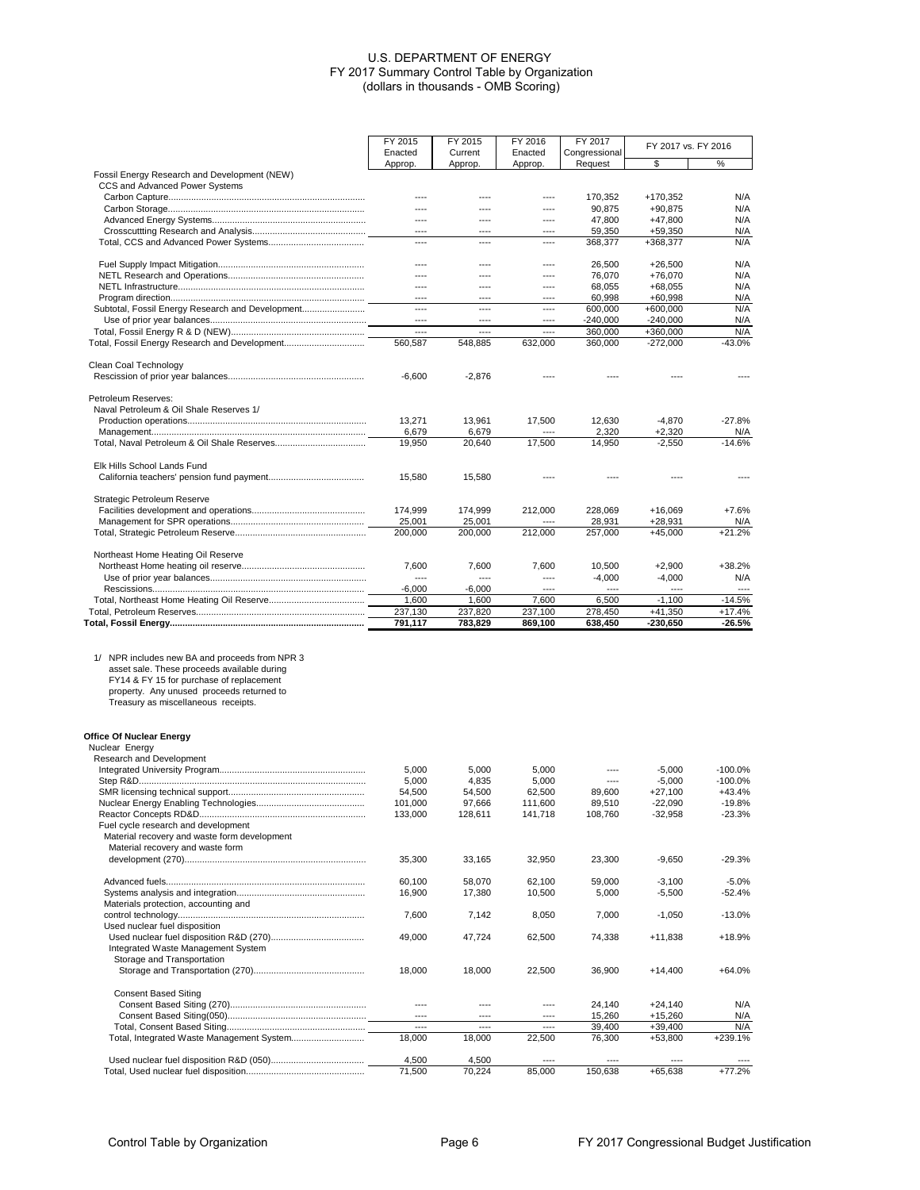|                                                  | FY 2015            | FY 2015            | FY 2016            | FY 2017            |                         |                    |
|--------------------------------------------------|--------------------|--------------------|--------------------|--------------------|-------------------------|--------------------|
|                                                  | Enacted            | Current            | Enacted            | Congressional      | FY 2017 vs. FY 2016     |                    |
|                                                  | Approp.            | Approp.            | Approp.            | Request            | \$                      | %                  |
| Fossil Energy Research and Development (NEW)     |                    |                    |                    |                    |                         |                    |
| CCS and Advanced Power Systems                   |                    |                    |                    |                    |                         |                    |
|                                                  | ----               | ----               | ----               | 170,352            | +170,352                | N/A                |
|                                                  | ----               | ----               | ----               | 90,875             | $+90,875$               | N/A                |
|                                                  | ----<br>----       | $---$<br>$---$     | $---$              | 47,800             | $+47,800$               | N/A                |
|                                                  | ----               | ----               | ----<br>----       | 59,350<br>368,377  | $+59,350$<br>+368,377   | N/A<br>N/A         |
|                                                  |                    |                    |                    |                    |                         |                    |
|                                                  | ----               | ----               | ----               | 26,500             | $+26,500$               | N/A                |
|                                                  | ----               | ----               | $---$              | 76,070             | +76,070                 | N/A                |
|                                                  | ----               | ----               | ----               | 68,055             | $+68,055$               | N/A                |
|                                                  |                    |                    |                    | 60,998             | $+60,998$               | N/A                |
| Subtotal, Fossil Energy Research and Development | ----               | $---$              | ----               | 600,000            | $+600,000$              | N/A                |
|                                                  |                    |                    |                    | $-240,000$         | $-240.000$              | N/A                |
|                                                  | ----               | ----               | ----               | 360.000            | +360,000                | N/A                |
|                                                  | 560.587            | 548.885            | 632,000            | 360,000            | $-272,000$              | -43.0%             |
| Clean Coal Technology                            |                    |                    |                    |                    |                         |                    |
|                                                  | $-6,600$           | $-2,876$           |                    |                    |                         |                    |
|                                                  |                    |                    |                    |                    |                         |                    |
| Petroleum Reserves:                              |                    |                    |                    |                    |                         |                    |
| Naval Petroleum & Oil Shale Reserves 1/          |                    |                    |                    |                    |                         |                    |
|                                                  | 13,271             | 13,961             | 17,500             | 12,630             | $-4,870$                | $-27.8%$           |
|                                                  | 6,679              | 6,679              |                    | 2,320              | $+2,320$                | N/A                |
|                                                  | 19,950             | 20,640             | 17,500             | 14,950             | $-2,550$                | $-14.6%$           |
|                                                  |                    |                    |                    |                    |                         |                    |
| Elk Hills School Lands Fund                      |                    |                    |                    |                    |                         |                    |
|                                                  | 15,580             | 15,580             |                    |                    |                         |                    |
| Strategic Petroleum Reserve                      |                    |                    |                    |                    |                         |                    |
|                                                  | 174,999            | 174,999            | 212,000            | 228,069            | $+16,069$               | $+7.6%$            |
|                                                  | 25,001             | 25,001             |                    | 28,931             | $+28,931$               | N/A                |
|                                                  | 200.000            | 200,000            | 212,000            | 257,000            | $+45,000$               | $+21.2%$           |
|                                                  |                    |                    |                    |                    |                         |                    |
| Northeast Home Heating Oil Reserve               |                    |                    |                    |                    |                         |                    |
|                                                  | 7,600              | 7,600              | 7,600              | 10,500             | $+2,900$                | $+38.2%$           |
|                                                  |                    |                    | ----               | $-4,000$           | $-4,000$                | N/A                |
|                                                  | $-6,000$           | $-6,000$           | $---$              |                    |                         |                    |
|                                                  | 1,600              | 1,600              | 7,600              | 6,500              | $-1,100$                | $-14.5%$           |
|                                                  | 237,130<br>791,117 | 237,820<br>783,829 | 237,100<br>869,100 | 278,450<br>638,450 | $+41,350$<br>$-230,650$ | $+17.4%$<br>-26.5% |
|                                                  |                    |                    |                    |                    |                         |                    |
|                                                  |                    |                    |                    |                    |                         |                    |
| 1/ NPR includes new BA and proceeds from NPR 3   |                    |                    |                    |                    |                         |                    |
| asset sale. These proceeds available during      |                    |                    |                    |                    |                         |                    |
| FY14 & FY 15 for purchase of replacement         |                    |                    |                    |                    |                         |                    |
| property. Any unused proceeds returned to        |                    |                    |                    |                    |                         |                    |
| Treasury as miscellaneous receipts.              |                    |                    |                    |                    |                         |                    |
|                                                  |                    |                    |                    |                    |                         |                    |
| Office Of Nuclear Energy                         |                    |                    |                    |                    |                         |                    |
| Nuclear Energy                                   |                    |                    |                    |                    |                         |                    |
| Research and Development                         |                    |                    |                    |                    |                         |                    |
|                                                  | 5,000              | 5,000              | 5,000              | ----               | $-5,000$                | $-100.0%$          |
|                                                  | 5,000              | 4,835              | 5,000              | ----               | $-5,000$                | $-100.0%$          |
|                                                  | 54,500             | 54,500             | 62,500             | 89,600             | $+27,100$               | $+43.4%$           |
|                                                  | 101,000            | 97,666             | 111,600            | 89,510             | $-22,090$               | $-19.8%$           |
| Fuel cycle research and development              | 133,000            | 128,611            | 141,718            | 108,760            | $-32,958$               | $-23.3%$           |
| Material recovery and waste form development     |                    |                    |                    |                    |                         |                    |
| Material recovery and waste form                 |                    |                    |                    |                    |                         |                    |
|                                                  | 35,300             | 33,165             | 32,950             | 23,300             | $-9,650$                | $-29.3%$           |
|                                                  |                    |                    |                    |                    |                         |                    |
|                                                  |                    |                    |                    |                    |                         |                    |
|                                                  | 60,100             | 58,070             | 62,100             | 59.000             | $-3,100$                | $-5.0%$            |
| Materials protection, accounting and             | 16,900             | 17,380             | 10,500             | 5,000              | $-5,500$                | $-52.4%$           |
|                                                  |                    |                    |                    |                    |                         |                    |
|                                                  | 7,600              | 7,142              | 8,050              | 7,000              | $-1,050$                | $-13.0%$           |
| Used nuclear fuel disposition                    |                    |                    |                    |                    |                         |                    |
|                                                  | 49,000             | 47,724             | 62,500             | 74,338             | $+11,838$               | +18.9%             |
| Integrated Waste Management System               |                    |                    |                    |                    |                         |                    |
| Storage and Transportation                       |                    |                    |                    |                    |                         |                    |
|                                                  | 18,000             | 18,000             | 22,500             | 36,900             | $+14,400$               | $+64.0%$           |
| <b>Consent Based Siting</b>                      |                    |                    |                    |                    |                         |                    |
|                                                  | ----               | ----               | ----               | 24,140             | $+24,140$               | N/A                |
|                                                  | ----               | $---$              | ----               | 15,260             | $+15,260$               | N/A                |
|                                                  | ----               | ----               | ----               | 39,400             | $+39,400$               | N/A                |
|                                                  | 18,000             | 18,000             | 22,500             | 76,300             | $+53,800$               | +239.1%            |
|                                                  |                    |                    |                    |                    |                         |                    |
|                                                  | 4,500<br>71,500    | 4,500<br>70,224    | 85,000             | 150,638            | $+65,638$               | $+77.2%$           |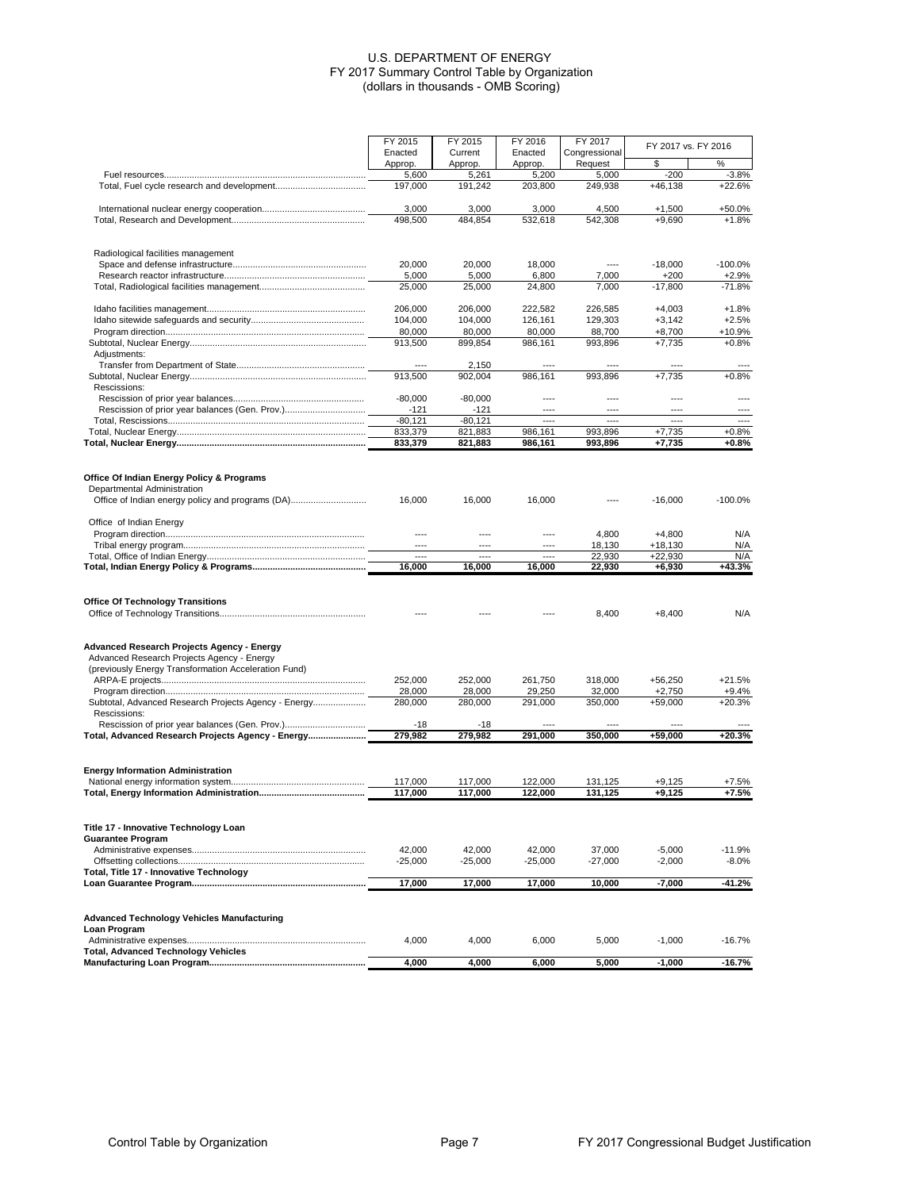|                                                      | FY 2015<br>FY 2015                |                    | FY 2016            | FY 2017                  | FY 2017 vs. FY 2016  |                   |
|------------------------------------------------------|-----------------------------------|--------------------|--------------------|--------------------------|----------------------|-------------------|
|                                                      | Enacted<br>Approp.                | Current<br>Approp. | Enacted<br>Approp. | Congressional<br>Request | \$                   | %                 |
|                                                      | 5,600                             | 5,261              | 5,200              | 5,000                    | $-200$               | $-3.8%$           |
|                                                      | 197,000                           | 191,242            | 203,800            | 249,938                  | +46,138              | $+22.6%$          |
|                                                      | 3,000                             | 3,000              | 3,000              | 4,500                    | $+1,500$             | +50.0%            |
|                                                      | 498,500                           | 484,854            | 532,618            | 542,308                  | $+9.690$             | $+1.8%$           |
| Radiological facilities management                   |                                   |                    |                    |                          |                      |                   |
|                                                      | 20,000                            | 20,000             | 18,000             | $---$                    | $-18,000$            | $-100.0%$         |
|                                                      | 5,000                             | 5,000              | 6,800              | 7,000                    | $+200$               | $+2.9%$           |
|                                                      | 25.000                            | 25,000             | 24,800             | 7,000                    | $-17.800$            | $-71.8%$          |
|                                                      | 206,000                           | 206,000            | 222,582            | 226,585                  | $+4,003$             | $+1.8%$           |
|                                                      | 104,000                           | 104,000            | 126,161            | 129,303                  | $+3,142$             | $+2.5%$           |
|                                                      | 80,000<br>913,500                 | 80,000<br>899.854  | 80,000<br>986,161  | 88,700<br>993,896        | $+8,700$<br>$+7,735$ | +10.9%<br>$+0.8%$ |
| Adjustments:                                         |                                   |                    |                    |                          |                      |                   |
|                                                      |                                   | 2,150              |                    |                          |                      |                   |
|                                                      | 913,500                           | 902,004            | 986,161            | 993,896                  | $+7,735$             | $+0.8%$           |
| Rescissions:                                         |                                   |                    |                    |                          |                      |                   |
|                                                      | $-80,000$                         | $-80,000$          | $---$              | ----                     | ----                 | ----              |
|                                                      | $-121$                            | $-121$             | $---$              | $---$                    | ----                 |                   |
|                                                      | $-80,121$                         | $-80, 121$         | ----               | $---$                    | ----                 | ----              |
|                                                      | 833,379                           | 821,883            | 986,161            | 993,896                  | $+7,735$             | $+0.8%$           |
|                                                      | 833,379                           | 821,883            | 986,161            | 993,896                  | $+7,735$             | $+0.8%$           |
| Office Of Indian Energy Policy & Programs            |                                   |                    |                    |                          |                      |                   |
| Departmental Administration                          |                                   |                    |                    |                          |                      |                   |
|                                                      | 16.000                            | 16.000             | 16,000             |                          | $-16,000$            | $-100.0%$         |
| Office of Indian Energy                              |                                   |                    |                    |                          |                      |                   |
|                                                      | $\overline{\phantom{a}}$<br>$---$ | ----               | ----               | 4,800                    | +4,800<br>$+18.130$  | N/A               |
|                                                      | $\overline{\phantom{a}}$          | $---$              | ----               | 18,130<br>22,930         | +22,930              | N/A<br>N/A        |
|                                                      | 16,000                            | 16,000             | 16,000             | 22,930                   | $+6,930$             | +43.3%            |
|                                                      |                                   |                    |                    |                          |                      |                   |
| <b>Office Of Technology Transitions</b>              |                                   |                    |                    | 8,400                    | $+8,400$             | N/A               |
|                                                      |                                   |                    |                    |                          |                      |                   |
| Advanced Research Projects Agency - Energy           |                                   |                    |                    |                          |                      |                   |
| Advanced Research Projects Agency - Energy           |                                   |                    |                    |                          |                      |                   |
| (previously Energy Transformation Acceleration Fund) | 252,000                           | 252,000            | 261,750            | 318,000                  | $+56,250$            | $+21.5%$          |
|                                                      | 28,000                            | 28,000             | 29,250             | 32,000                   | +2,750               | +9.4%             |
| Subtotal, Advanced Research Projects Agency - Energy | 280,000                           | 280,000            | 291,000            | 350,000                  | +59,000              | $+20.3%$          |
| Rescissions:                                         |                                   |                    |                    |                          |                      |                   |
| Total, Advanced Research Projects Agency - Energy    | -18<br>279,982                    | $-18$<br>279,982   | 291,000            | 350,000                  | +59,000              | +20.3%            |
|                                                      |                                   |                    |                    |                          |                      |                   |
| <b>Energy Information Administration</b>             |                                   |                    |                    |                          |                      |                   |
|                                                      | 117.000                           | 117,000            | 122,000            | 131.125                  | +9,125               | +7.5%             |
|                                                      | 117,000                           | 117,000            | 122,000            | 131,125                  | $+9,125$             | $+7.5%$           |
| Title 17 - Innovative Technology Loan                |                                   |                    |                    |                          |                      |                   |
| <b>Guarantee Program</b>                             |                                   |                    |                    |                          |                      |                   |
|                                                      | 42,000                            | 42,000             | 42,000             | 37,000                   | $-5,000$             | $-11.9%$          |
|                                                      | $-25,000$                         | $-25,000$          | $-25,000$          | $-27,000$                | $-2,000$             | $-8.0\%$          |
| Total, Title 17 - Innovative Technology              | 17,000                            | 17,000             | 17,000             | 10,000                   | -7,000               | $-41.2%$          |
|                                                      |                                   |                    |                    |                          |                      |                   |
| <b>Advanced Technology Vehicles Manufacturing</b>    |                                   |                    |                    |                          |                      |                   |
| Loan Program                                         | 4,000                             | 4,000              | 6,000              | 5,000                    | $-1,000$             | $-16.7%$          |
| <b>Total, Advanced Technology Vehicles</b>           |                                   |                    |                    |                          |                      |                   |
|                                                      | 4,000                             | 4,000              | 6,000              | 5,000                    | $-1,000$             | $-16.7%$          |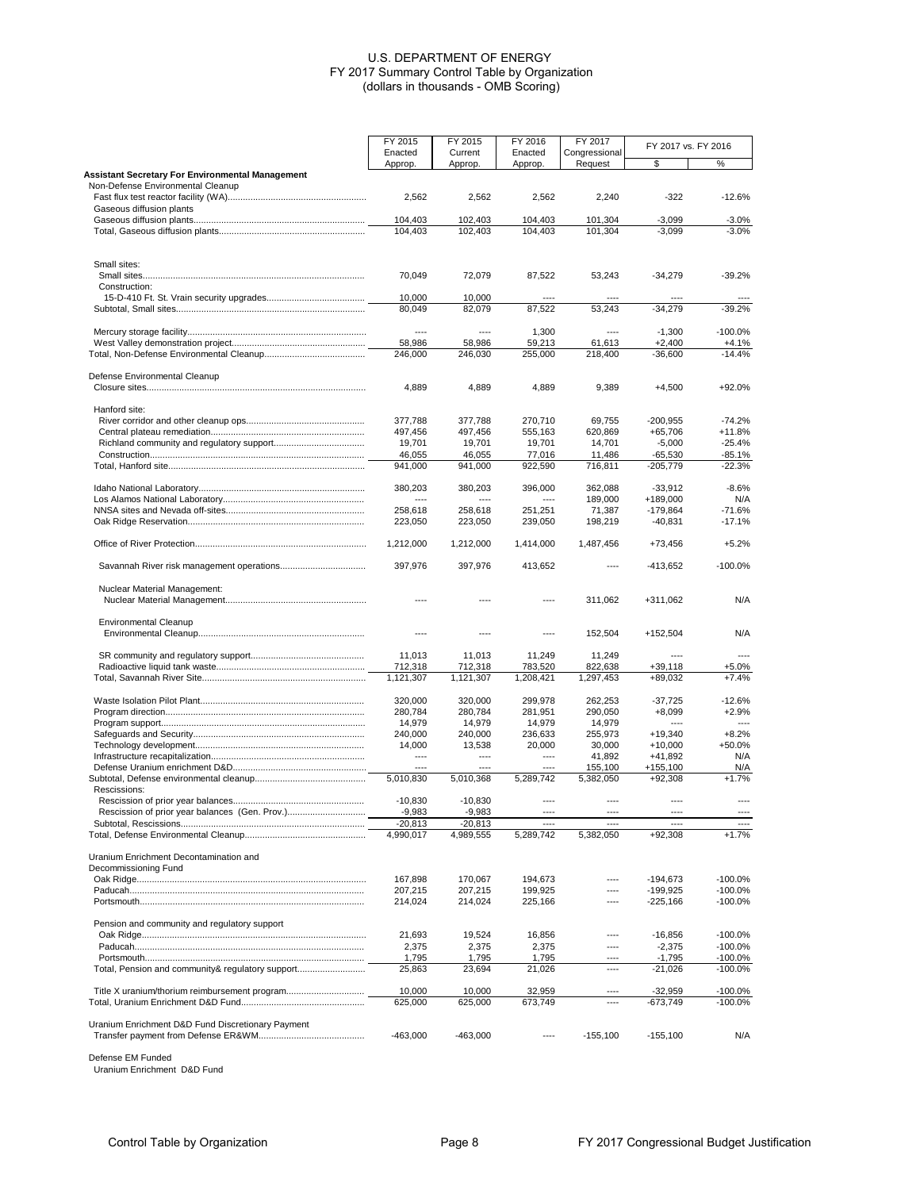|                                                                                              | FY 2015                  | FY 2015              | FY 2016              | FY 2017              | FY 2017 vs. FY 2016      |                        |
|----------------------------------------------------------------------------------------------|--------------------------|----------------------|----------------------|----------------------|--------------------------|------------------------|
|                                                                                              | Enacted                  | Current              | Enacted              | Congressional        |                          |                        |
|                                                                                              | Approp.                  | Approp.              | Approp.              | Request              | \$                       | %                      |
| <b>Assistant Secretary For Environmental Management</b><br>Non-Defense Environmental Cleanup |                          |                      |                      |                      |                          |                        |
|                                                                                              | 2,562                    | 2,562                | 2,562                | 2,240                | $-322$                   | $-12.6%$               |
| Gaseous diffusion plants                                                                     |                          |                      |                      |                      |                          |                        |
|                                                                                              | 104,403                  | 102,403              | 104,403              | 101,304              | $-3,099$                 | -3.0%                  |
|                                                                                              | 104,403                  | 102,403              | 104,403              | 101,304              | $-3,099$                 | $-3.0%$                |
|                                                                                              |                          |                      |                      |                      |                          |                        |
| Small sites:                                                                                 |                          |                      |                      |                      |                          |                        |
|                                                                                              | 70,049                   | 72,079               | 87,522               | 53,243               | $-34,279$                | $-39.2%$               |
| Construction:                                                                                |                          |                      |                      |                      |                          |                        |
|                                                                                              | 10,000                   | 10,000               |                      |                      |                          |                        |
|                                                                                              | 80,049                   | 82,079               | 87,522               | 53,243               | $-34,279$                | $-39.2%$               |
|                                                                                              | $---$                    | ----                 | 1,300                | $---$                | $-1,300$                 | $-100.0%$              |
|                                                                                              | 58,986                   | 58,986               | 59,213               | 61,613               | $+2,400$                 | $+4.1%$                |
|                                                                                              | 246,000                  | 246,030              | 255,000              | 218,400              | $-36,600$                | $-14.4%$               |
| Defense Environmental Cleanup                                                                |                          |                      |                      |                      |                          |                        |
|                                                                                              | 4,889                    | 4,889                | 4,889                | 9,389                | $+4,500$                 | +92.0%                 |
| Hanford site:                                                                                |                          |                      |                      |                      |                          |                        |
|                                                                                              | 377,788                  | 377,788              | 270,710              | 69,755               | $-200,955$               | $-74.2%$               |
|                                                                                              | 497,456                  | 497,456              | 555,163              | 620,869              | $+65,706$                | +11.8%                 |
|                                                                                              | 19,701                   | 19,701               | 19,701               | 14,701               | $-5,000$                 | $-25.4%$               |
|                                                                                              | 46,055                   | 46,055               | 77,016               | 11,486               | -65,530                  | $-85.1%$               |
|                                                                                              | 941.000                  | 941,000              | 922,590              | 716,811              | $-205,779$               | $-22.3%$               |
|                                                                                              | 380,203                  | 380,203              | 396,000              | 362,088              | $-33,912$                | $-8.6%$                |
|                                                                                              | $\overline{\phantom{a}}$ | ----                 | ----                 | 189,000              | +189,000                 | N/A                    |
|                                                                                              | 258,618                  | 258,618              | 251.251              | 71.387               | $-179.864$               | $-71.6%$               |
|                                                                                              | 223,050                  | 223,050              | 239.050              | 198,219              | $-40,831$                | $-17.1%$               |
|                                                                                              | 1,212,000                | 1,212,000            | 1,414,000            | 1,487,456            | +73,456                  | $+5.2%$                |
|                                                                                              | 397,976                  | 397,976              | 413,652              |                      | -413,652                 | $-100.0%$              |
|                                                                                              |                          |                      |                      |                      |                          |                        |
| Nuclear Material Management:                                                                 |                          |                      | ----                 | 311,062              | +311,062                 | N/A                    |
| <b>Environmental Cleanup</b>                                                                 |                          |                      |                      |                      |                          |                        |
|                                                                                              | $---$                    | $---$                | ----                 | 152,504              | $+152,504$               | N/A                    |
|                                                                                              |                          |                      |                      |                      |                          |                        |
|                                                                                              | 11,013                   | 11,013               | 11,249               | 11,249               | ----                     | ----                   |
|                                                                                              | 712,318<br>1,121,307     | 712,318<br>1,121,307 | 783,520<br>1,208,421 | 822,638<br>1,297,453 | $+39,118$<br>+89,032     | +5.0%<br>$+7.4%$       |
|                                                                                              |                          |                      |                      |                      |                          |                        |
|                                                                                              | 320,000                  | 320,000              | 299,978              | 262,253              | $-37,725$                | $-12.6%$               |
|                                                                                              | 280,784                  | 280,784              | 281,951              | 290,050              | $+8,099$                 | $+2.9%$                |
|                                                                                              | 14,979                   | 14,979               | 14,979               | 14,979               |                          |                        |
|                                                                                              | 240,000                  | 240,000              | 236,633              | 255,973              | $+19,340$                | $+8.2%$                |
|                                                                                              | 14,000                   | 13,538               | 20.000               | 30,000               | $+10,000$                | +50.0%                 |
|                                                                                              | ----                     | $---$                | ----                 | 41,892               | $+41,892$                | N/A                    |
|                                                                                              |                          |                      |                      | 155,100              | $+155,100$               | N/A                    |
|                                                                                              | 5,010,830                | 5,010,368            | 5,289,742            | 5,382,050            | $+92,308$                | $+1.7%$                |
| Rescissions:                                                                                 | $-10,830$                | $-10.830$            | ----                 | ----                 |                          |                        |
|                                                                                              | $-9,983$                 | $-9,983$             |                      |                      |                          |                        |
|                                                                                              | $-20,813$                | $-20,813$            | ----                 | ----                 | ----                     | ----                   |
|                                                                                              | 4,990,017                | 4,989,555            | 5,289,742            | 5,382,050            | +92,308                  | $+1.7%$                |
|                                                                                              |                          |                      |                      |                      |                          |                        |
| Uranium Enrichment Decontamination and                                                       |                          |                      |                      |                      |                          |                        |
| Decommissioning Fund                                                                         |                          |                      |                      |                      |                          |                        |
|                                                                                              | 167,898                  | 170,067              | 194,673<br>199,925   |                      | $-194,673$<br>$-199,925$ | $-100.0%$<br>$-100.0%$ |
|                                                                                              | 207,215<br>214,024       | 207,215<br>214,024   | 225,166              |                      | $-225,166$               | $-100.0%$              |
|                                                                                              |                          |                      |                      |                      |                          |                        |
| Pension and community and regulatory support                                                 |                          |                      |                      |                      |                          |                        |
|                                                                                              | 21,693                   | 19,524               | 16,856               | ----                 | $-16,856$                | $-100.0%$              |
|                                                                                              | 2,375                    | 2,375                | 2,375                | ----                 | $-2,375$                 | $-100.0%$              |
|                                                                                              | 1,795                    | 1,795                | 1,795                | ----                 | $-1,795$                 | -100.0%                |
| Total, Pension and community& regulatory support                                             | 25,863                   | 23,694               | 21,026               | ----                 | $-21,026$                | $-100.0%$              |
|                                                                                              | 10,000                   | 10,000               | 32,959               |                      | -32,959                  | -100.0%                |
|                                                                                              | 625,000                  | 625,000              | 673,749              |                      | -673,749                 | $-100.0\%$             |
|                                                                                              |                          |                      |                      |                      |                          |                        |
| Uranium Enrichment D&D Fund Discretionary Payment                                            | $-463,000$               | $-463,000$           | ----                 | $-155,100$           | $-155,100$               | N/A                    |
|                                                                                              |                          |                      |                      |                      |                          |                        |

Defense EM Funded Uranium Enrichment D&D Fund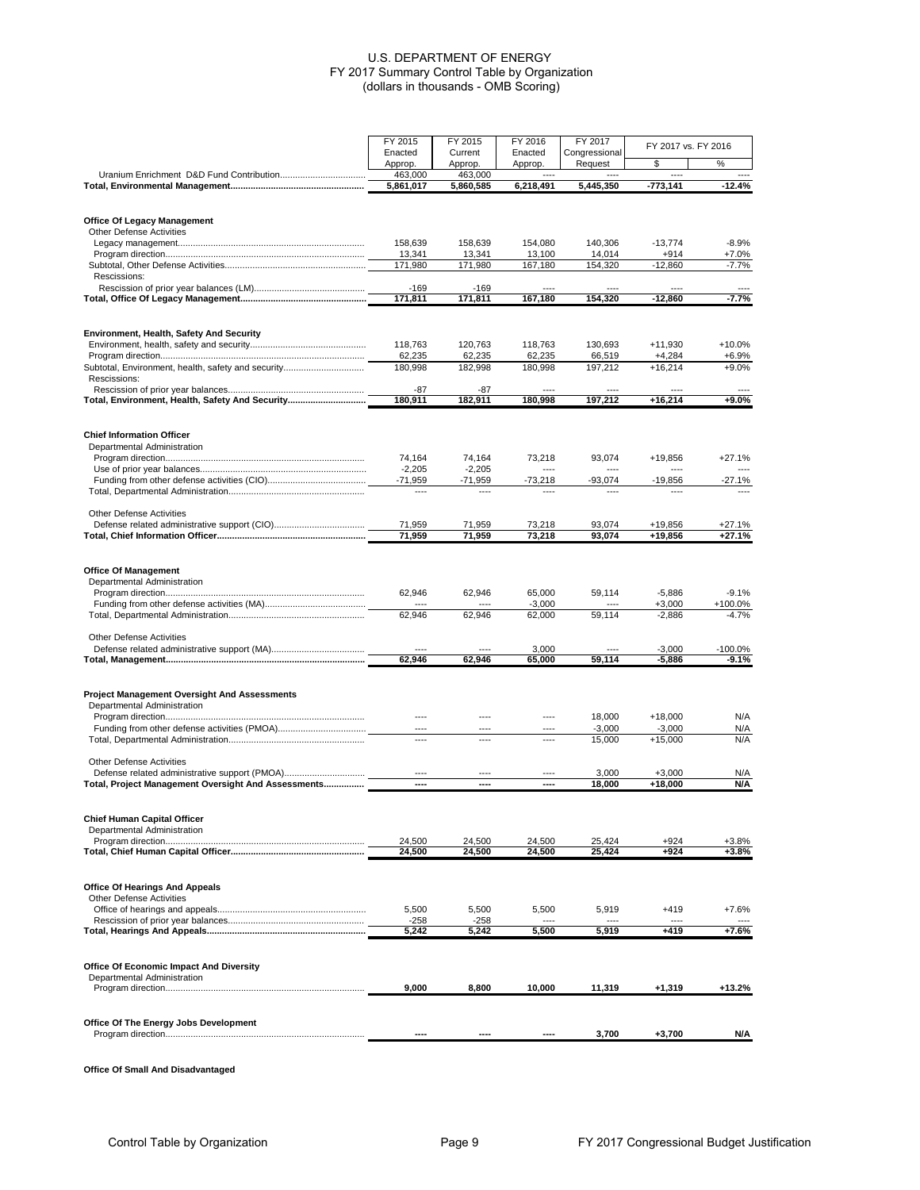|                                                            | FY 2015            | FY 2015            | FY 2016            | FY 2017                  | FY 2017 vs. FY 2016 |                  |
|------------------------------------------------------------|--------------------|--------------------|--------------------|--------------------------|---------------------|------------------|
|                                                            | Enacted<br>Approp. | Current<br>Approp. | Enacted<br>Approp. | Congressional<br>Request | \$                  | %                |
|                                                            | 463,000            | 463,000            |                    |                          |                     |                  |
|                                                            | 5,861,017          | 5,860,585          | 6,218,491          | 5,445,350                | -773,141            | -12.4%           |
| <b>Office Of Legacy Management</b>                         |                    |                    |                    |                          |                     |                  |
| <b>Other Defense Activities</b>                            |                    |                    |                    |                          |                     |                  |
|                                                            | 158,639            | 158,639            | 154,080            | 140,306                  | $-13,774$           | $-8.9%$          |
|                                                            | 13,341<br>171,980  | 13,341<br>171,980  | 13,100<br>167,180  | 14,014<br>154,320        | $+914$<br>$-12,860$ | $+7.0%$<br>-7.7% |
| Rescissions:                                               |                    |                    |                    |                          |                     |                  |
|                                                            | $-169$             | -169               |                    |                          |                     |                  |
|                                                            | 171,811            | 171,811            | 167.180            | 154,320                  | $-12,860$           | $-7.7%$          |
| Environment, Health, Safety And Security                   |                    |                    |                    |                          |                     |                  |
|                                                            | 118,763            | 120,763            | 118,763            | 130,693                  | $+11,930$           | +10.0%           |
|                                                            | 62,235             | 62,235             | 62,235             | 66,519                   | $+4,284$            | $+6.9%$          |
| Subtotal, Environment, health, safety and security         | 180,998            | 182,998            | 180,998            | 197,212                  | $+16,214$           | $+9.0%$          |
| Rescissions:                                               |                    |                    |                    |                          |                     |                  |
| Total, Environment, Health, Safety And Security            | $-87$<br>180,911   | -87<br>182,911     | 180,998            | 197,212                  | $+16,214$           | +9.0%            |
|                                                            |                    |                    |                    |                          |                     |                  |
| <b>Chief Information Officer</b>                           |                    |                    |                    |                          |                     |                  |
| Departmental Administration                                | 74,164             | 74,164             | 73,218             | 93,074                   | +19,856             | $+27.1%$         |
|                                                            | $-2,205$           | $-2,205$           |                    |                          |                     |                  |
|                                                            | $-71,959$          | $-71,959$          | $-73,218$          | $-93,074$                | $-19,856$           | -27.1%           |
|                                                            | ----               | ----               |                    |                          | ----                |                  |
| <b>Other Defense Activities</b>                            |                    |                    |                    |                          |                     |                  |
|                                                            | 71,959             | 71,959             | 73,218             | 93,074                   | +19,856             | +27.1%           |
|                                                            | 71,959             | 71,959             | 73,218             | 93,074                   | +19,856             | +27.1%           |
|                                                            |                    |                    |                    |                          |                     |                  |
| <b>Office Of Management</b><br>Departmental Administration |                    |                    |                    |                          |                     |                  |
|                                                            | 62,946             | 62,946             | 65,000             | 59,114                   | $-5,886$            | $-9.1%$          |
|                                                            |                    |                    | $-3,000$           |                          | $+3,000$            | +100.0%          |
|                                                            | 62,946             | 62,946             | 62,000             | 59,114                   | $-2,886$            | $-4.7%$          |
| <b>Other Defense Activities</b>                            |                    |                    |                    |                          |                     |                  |
|                                                            |                    |                    | 3,000              |                          | $-3,000$            | $-100.0%$        |
|                                                            | 62,946             | 62,946             | 65,000             | 59,114                   | $-5,886$            | -9.1%            |
| <b>Project Management Oversight And Assessments</b>        |                    |                    |                    |                          |                     |                  |
| Departmental Administration                                |                    |                    |                    |                          |                     |                  |
|                                                            | ----               | ----               | ----               | 18,000                   | $+18,000$           | N/A              |
|                                                            |                    |                    |                    | $-3,000$                 | $-3,000$            | N/A              |
|                                                            | ----               | ----               | ----               | 15,000                   | $+15.000$           | N/A              |
| <b>Other Defense Activities</b>                            |                    |                    |                    |                          |                     |                  |
|                                                            |                    |                    |                    | 3,000                    | $+3,000$            | N/A              |
| Total, Project Management Oversight And Assessments        | ----               |                    | ----               | 18,000                   | $+18,000$           | N/A              |
| <b>Chief Human Capital Officer</b>                         |                    |                    |                    |                          |                     |                  |
| Departmental Administration                                |                    |                    |                    |                          |                     |                  |
|                                                            | 24,500             | 24,500             | 24,500             | 25,424                   | $+924$              | $+3.8%$          |
|                                                            | 24,500             | 24,500             | 24,500             | 25,424                   | $+924$              | +3.8%            |
| <b>Office Of Hearings And Appeals</b>                      |                    |                    |                    |                          |                     |                  |
| <b>Other Defense Activities</b>                            |                    |                    |                    |                          |                     |                  |
|                                                            | 5,500              | 5,500              | 5,500              | 5,919                    | +419                | $+7.6%$          |
|                                                            | -258               | -258               | ----               |                          |                     |                  |
|                                                            | 5,242              | 5,242              | 5,500              | 5,919                    | +419                | $+7.6%$          |
| <b>Office Of Economic Impact And Diversity</b>             |                    |                    |                    |                          |                     |                  |
| Departmental Administration                                |                    |                    |                    |                          |                     |                  |
|                                                            | 9,000              | 8,800              | 10,000             | 11,319                   | $+1,319$            | +13.2%           |
|                                                            |                    |                    |                    |                          |                     |                  |
| Office Of The Energy Jobs Development                      |                    |                    |                    |                          |                     |                  |
|                                                            |                    |                    |                    | 3,700                    | +3,700              | N/A              |

**Office Of Small And Disadvantaged**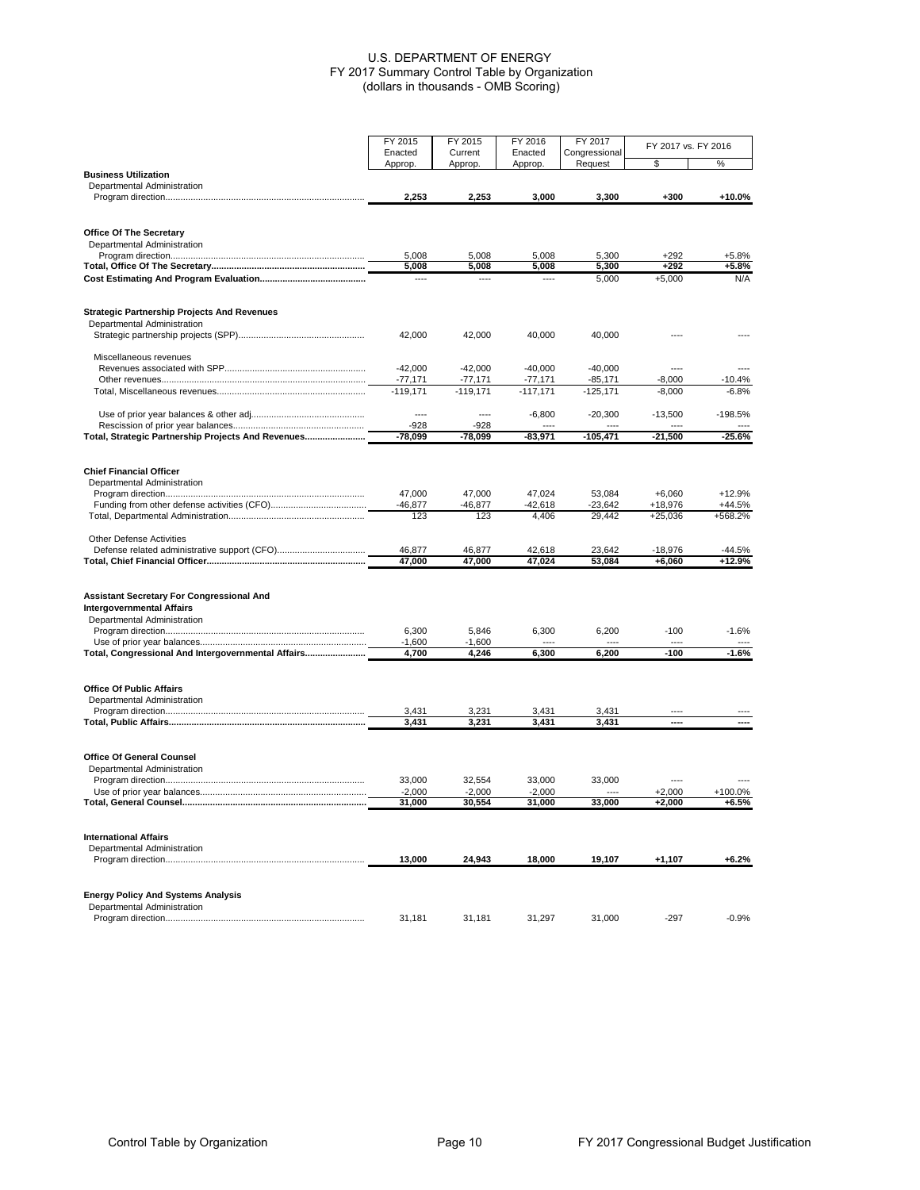|                                                                 | FY 2015<br>FY 2015    |                         | FY 2016                 | FY 2017                  | FY 2017 vs. FY 2016  |                   |
|-----------------------------------------------------------------|-----------------------|-------------------------|-------------------------|--------------------------|----------------------|-------------------|
|                                                                 | Enacted<br>Approp.    | Current<br>Approp.      | Enacted<br>Approp.      | Congressional<br>Request | \$                   | %                 |
| <b>Business Utilization</b>                                     |                       |                         |                         |                          |                      |                   |
| Departmental Administration                                     | 2,253                 | 2,253                   | 3,000                   | 3,300                    | $+300$               | +10.0%            |
|                                                                 |                       |                         |                         |                          |                      |                   |
| Office Of The Secretary                                         |                       |                         |                         |                          |                      |                   |
| Departmental Administration                                     |                       |                         |                         |                          |                      |                   |
|                                                                 | 5,008                 | 5,008                   | 5,008                   | 5,300                    | $+292$               | +5.8%             |
|                                                                 | 5,008                 | 5,008                   | 5,008                   | 5,300                    | $+292$               | +5.8%             |
|                                                                 | ----                  | ----                    | ----                    | 5,000                    | $+5,000$             | N/A               |
| <b>Strategic Partnership Projects And Revenues</b>              |                       |                         |                         |                          |                      |                   |
| Departmental Administration                                     |                       |                         |                         |                          |                      |                   |
|                                                                 | 42,000                | 42,000                  | 40,000                  | 40,000                   |                      |                   |
| Miscellaneous revenues                                          |                       |                         |                         |                          |                      |                   |
|                                                                 | $-42,000$             | $-42,000$               | $-40,000$               | $-40,000$                |                      |                   |
|                                                                 | -77,171<br>$-119,171$ | $-77,171$<br>$-119,171$ | $-77,171$<br>$-117,171$ | $-85,171$<br>$-125,171$  | $-8,000$<br>$-8,000$ | -10.4%<br>$-6.8%$ |
|                                                                 |                       |                         |                         |                          |                      |                   |
|                                                                 | ----                  | $---$                   | $-6,800$                | $-20,300$                | $-13,500$            | $-198.5%$         |
|                                                                 | $-928$                | -928                    |                         |                          |                      |                   |
| Total, Strategic Partnership Projects And Revenues              | -78,099               | -78,099                 | -83,971                 | $-105,471$               | -21,500              | -25.6%            |
| <b>Chief Financial Officer</b>                                  |                       |                         |                         |                          |                      |                   |
| Departmental Administration                                     |                       |                         |                         |                          |                      |                   |
|                                                                 | 47.000                | 47,000                  | 47,024                  | 53.084                   | $+6.060$             | $+12.9%$          |
|                                                                 | $-46,877$             | $-46,877$               | -42,618                 | $-23,642$                | +18.976              | +44.5%            |
|                                                                 | 123                   | 123                     | 4,406                   | 29.442                   | $+25,036$            | +568.2%           |
| <b>Other Defense Activities</b>                                 |                       |                         |                         |                          |                      |                   |
|                                                                 | 46,877<br>47,000      | 46,877<br>47,000        | 42,618<br>47,024        | 23,642<br>53,084         | -18,976              | -44.5%<br>+12.9%  |
|                                                                 |                       |                         |                         |                          | +6,060               |                   |
| <b>Assistant Secretary For Congressional And</b>                |                       |                         |                         |                          |                      |                   |
| <b>Intergovernmental Affairs</b>                                |                       |                         |                         |                          |                      |                   |
| Departmental Administration                                     |                       |                         |                         |                          |                      |                   |
|                                                                 | 6,300                 | 5,846                   | 6,300                   | 6,200                    | $-100$               | $-1.6%$           |
|                                                                 | $-1,600$              | $-1,600$                |                         |                          |                      |                   |
| Total, Congressional And Intergovernmental Affairs              | 4,700                 | 4,246                   | 6,300                   | 6,200                    | -100                 | -1.6%             |
| <b>Office Of Public Affairs</b>                                 |                       |                         |                         |                          |                      |                   |
| Departmental Administration                                     |                       |                         |                         |                          |                      |                   |
|                                                                 | 3,431                 | 3,231                   | 3,431                   | 3,431                    |                      |                   |
|                                                                 | 3,431                 | 3,231                   | 3,431                   | 3,431                    | ----                 | ----              |
|                                                                 |                       |                         |                         |                          |                      |                   |
| <b>Office Of General Counsel</b><br>Departmental Administration |                       |                         |                         |                          |                      |                   |
|                                                                 | 33,000                | 32,554                  | 33,000                  | 33,000                   |                      |                   |
|                                                                 | $-2,000$              | $-2,000$                | $-2,000$                |                          | $+2.000$             | +100.0%           |
|                                                                 | 31,000                | 30,554                  | 31,000                  | 33,000                   | $+2,000$             | +6.5%             |
|                                                                 |                       |                         |                         |                          |                      |                   |
| <b>International Affairs</b><br>Departmental Administration     |                       |                         |                         |                          |                      |                   |
|                                                                 | 13,000                | 24,943                  | 18,000                  | 19,107                   | $+1,107$             | $+6.2%$           |
|                                                                 |                       |                         |                         |                          |                      |                   |
| <b>Energy Policy And Systems Analysis</b>                       |                       |                         |                         |                          |                      |                   |
| Departmental Administration                                     |                       |                         |                         |                          |                      |                   |
|                                                                 | 31,181                | 31,181                  | 31,297                  | 31.000                   | $-297$               | $-0.9%$           |